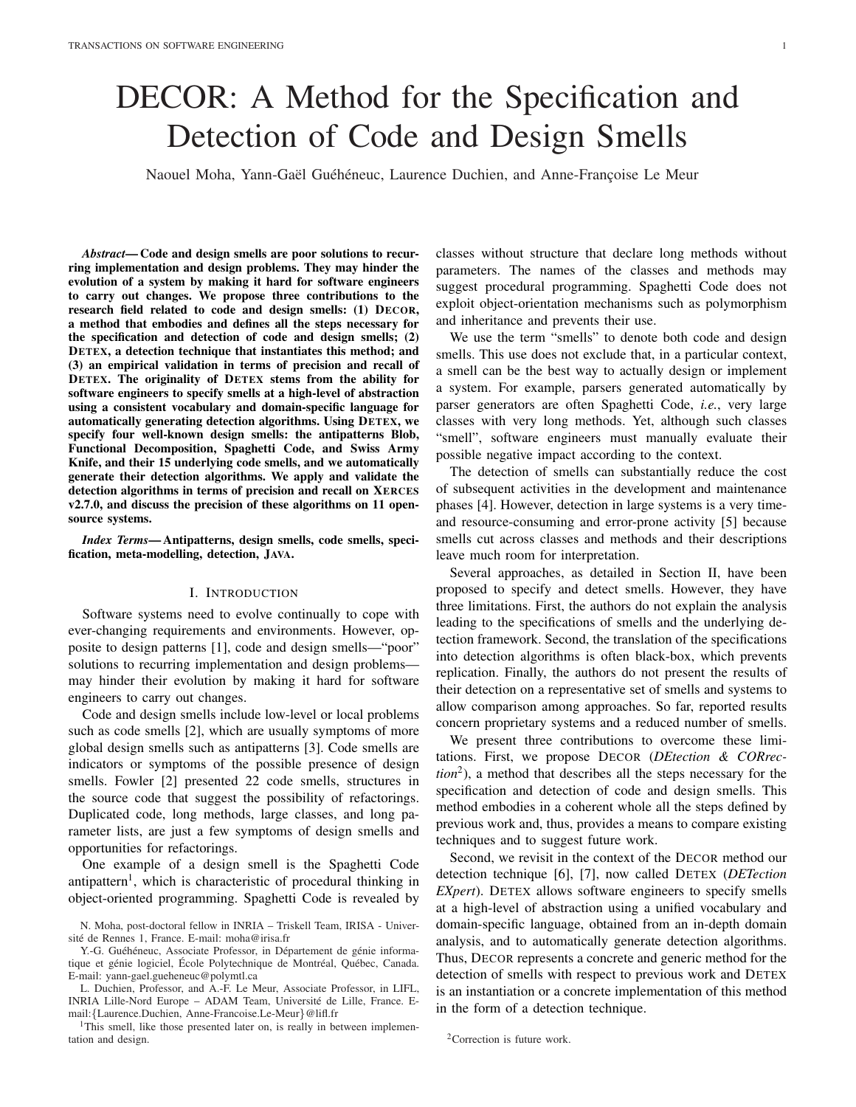# DECOR: A Method for the Specification and Detection of Code and Design Smells

Naouel Moha, Yann-Gaël Guéhéneuc, Laurence Duchien, and Anne-Françoise Le Meur

*Abstract*— Code and design smells are poor solutions to recurring implementation and design problems. They may hinder the evolution of a system by making it hard for software engineers to carry out changes. We propose three contributions to the research field related to code and design smells: (1) DECOR, a method that embodies and defines all the steps necessary for the specification and detection of code and design smells; (2) DETEX, a detection technique that instantiates this method; and (3) an empirical validation in terms of precision and recall of DETEX. The originality of DETEX stems from the ability for software engineers to specify smells at a high-level of abstraction using a consistent vocabulary and domain-specific language for automatically generating detection algorithms. Using DETEX, we specify four well-known design smells: the antipatterns Blob, Functional Decomposition, Spaghetti Code, and Swiss Army Knife, and their 15 underlying code smells, and we automatically generate their detection algorithms. We apply and validate the detection algorithms in terms of precision and recall on XERCES v2.7.0, and discuss the precision of these algorithms on 11 opensource systems.

*Index Terms*— Antipatterns, design smells, code smells, specification, meta-modelling, detection, JAVA.

#### I. INTRODUCTION

Software systems need to evolve continually to cope with ever-changing requirements and environments. However, opposite to design patterns [1], code and design smells—"poor" solutions to recurring implementation and design problems may hinder their evolution by making it hard for software engineers to carry out changes.

Code and design smells include low-level or local problems such as code smells [2], which are usually symptoms of more global design smells such as antipatterns [3]. Code smells are indicators or symptoms of the possible presence of design smells. Fowler [2] presented 22 code smells, structures in the source code that suggest the possibility of refactorings. Duplicated code, long methods, large classes, and long parameter lists, are just a few symptoms of design smells and opportunities for refactorings.

One example of a design smell is the Spaghetti Code antipattern<sup>1</sup>, which is characteristic of procedural thinking in object-oriented programming. Spaghetti Code is revealed by

Y.-G. Guéhéneuc, Associate Professor, in Département de génie informatique et génie logiciel, École Polytechnique de Montréal, Québec, Canada. E-mail: yann-gael.gueheneuc@polymtl.ca

L. Duchien, Professor, and A.-F. Le Meur, Associate Professor, in LIFL, INRIA Lille-Nord Europe – ADAM Team, Universite de Lille, France. E- ´ mail:{Laurence.Duchien, Anne-Francoise.Le-Meur}@lifl.fr

<sup>1</sup>This smell, like those presented later on, is really in between implementation and design.

classes without structure that declare long methods without parameters. The names of the classes and methods may suggest procedural programming. Spaghetti Code does not exploit object-orientation mechanisms such as polymorphism and inheritance and prevents their use.

We use the term "smells" to denote both code and design smells. This use does not exclude that, in a particular context, a smell can be the best way to actually design or implement a system. For example, parsers generated automatically by parser generators are often Spaghetti Code, *i.e.*, very large classes with very long methods. Yet, although such classes "smell", software engineers must manually evaluate their possible negative impact according to the context.

The detection of smells can substantially reduce the cost of subsequent activities in the development and maintenance phases [4]. However, detection in large systems is a very timeand resource-consuming and error-prone activity [5] because smells cut across classes and methods and their descriptions leave much room for interpretation.

Several approaches, as detailed in Section II, have been proposed to specify and detect smells. However, they have three limitations. First, the authors do not explain the analysis leading to the specifications of smells and the underlying detection framework. Second, the translation of the specifications into detection algorithms is often black-box, which prevents replication. Finally, the authors do not present the results of their detection on a representative set of smells and systems to allow comparison among approaches. So far, reported results concern proprietary systems and a reduced number of smells.

We present three contributions to overcome these limitations. First, we propose DECOR (*DEtection & CORrection*<sup>2</sup> ), a method that describes all the steps necessary for the specification and detection of code and design smells. This method embodies in a coherent whole all the steps defined by previous work and, thus, provides a means to compare existing techniques and to suggest future work.

Second, we revisit in the context of the DECOR method our detection technique [6], [7], now called DETEX (*DETection EXpert*). DETEX allows software engineers to specify smells at a high-level of abstraction using a unified vocabulary and domain-specific language, obtained from an in-depth domain analysis, and to automatically generate detection algorithms. Thus, DECOR represents a concrete and generic method for the detection of smells with respect to previous work and DETEX is an instantiation or a concrete implementation of this method in the form of a detection technique.

N. Moha, post-doctoral fellow in INRIA – Triskell Team, IRISA - Université de Rennes 1, France. E-mail: moha@irisa.fr

<sup>2</sup>Correction is future work.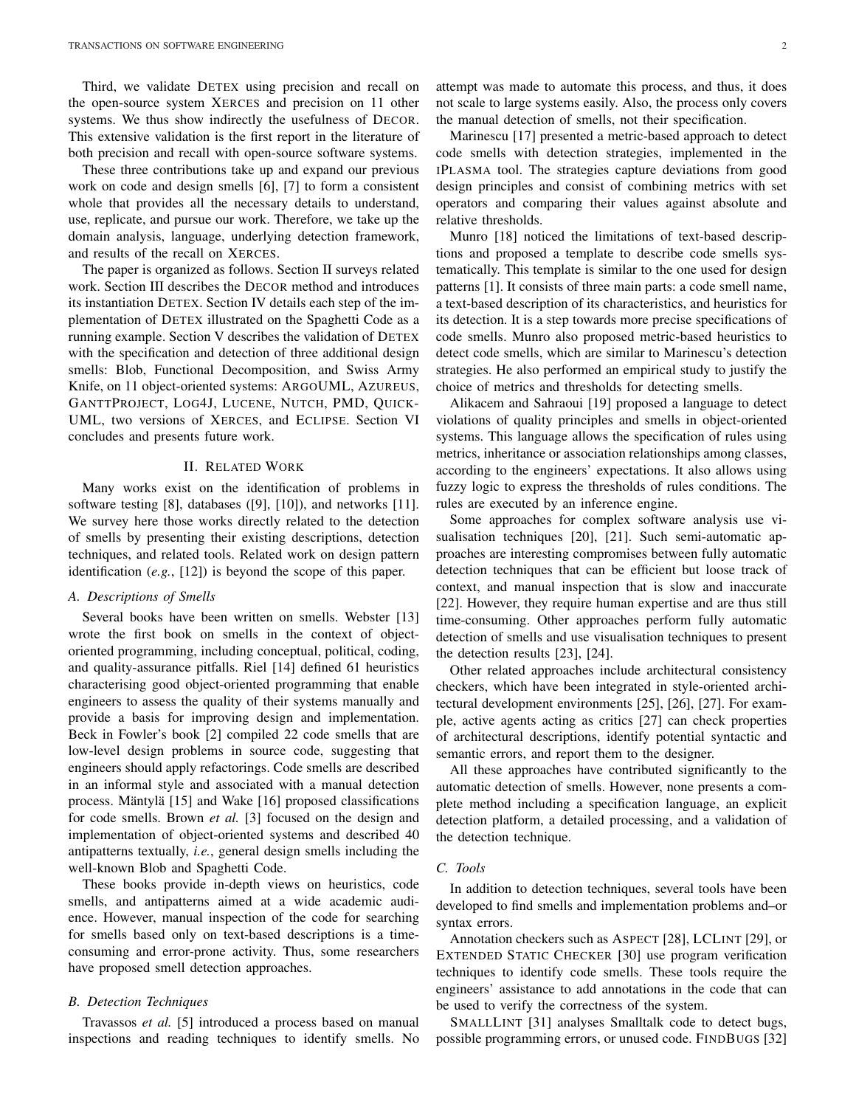Third, we validate DETEX using precision and recall on the open-source system XERCES and precision on 11 other systems. We thus show indirectly the usefulness of DECOR. This extensive validation is the first report in the literature of both precision and recall with open-source software systems.

These three contributions take up and expand our previous work on code and design smells [6], [7] to form a consistent whole that provides all the necessary details to understand, use, replicate, and pursue our work. Therefore, we take up the domain analysis, language, underlying detection framework, and results of the recall on XERCES.

The paper is organized as follows. Section II surveys related work. Section III describes the DECOR method and introduces its instantiation DETEX. Section IV details each step of the implementation of DETEX illustrated on the Spaghetti Code as a running example. Section V describes the validation of DETEX with the specification and detection of three additional design smells: Blob, Functional Decomposition, and Swiss Army Knife, on 11 object-oriented systems: ARGOUML, AZUREUS, GANTTPROJECT, LOG4J, LUCENE, NUTCH, PMD, QUICK-UML, two versions of XERCES, and ECLIPSE. Section VI concludes and presents future work.

# II. RELATED WORK

Many works exist on the identification of problems in software testing [8], databases ([9], [10]), and networks [11]. We survey here those works directly related to the detection of smells by presenting their existing descriptions, detection techniques, and related tools. Related work on design pattern identification (*e.g.*, [12]) is beyond the scope of this paper.

# *A. Descriptions of Smells*

Several books have been written on smells. Webster [13] wrote the first book on smells in the context of objectoriented programming, including conceptual, political, coding, and quality-assurance pitfalls. Riel [14] defined 61 heuristics characterising good object-oriented programming that enable engineers to assess the quality of their systems manually and provide a basis for improving design and implementation. Beck in Fowler's book [2] compiled 22 code smells that are low-level design problems in source code, suggesting that engineers should apply refactorings. Code smells are described in an informal style and associated with a manual detection process. Mäntylä  $[15]$  and Wake  $[16]$  proposed classifications for code smells. Brown *et al.* [3] focused on the design and implementation of object-oriented systems and described 40 antipatterns textually, *i.e.*, general design smells including the well-known Blob and Spaghetti Code.

These books provide in-depth views on heuristics, code smells, and antipatterns aimed at a wide academic audience. However, manual inspection of the code for searching for smells based only on text-based descriptions is a timeconsuming and error-prone activity. Thus, some researchers have proposed smell detection approaches.

#### *B. Detection Techniques*

Travassos *et al.* [5] introduced a process based on manual inspections and reading techniques to identify smells. No attempt was made to automate this process, and thus, it does not scale to large systems easily. Also, the process only covers the manual detection of smells, not their specification.

Marinescu [17] presented a metric-based approach to detect code smells with detection strategies, implemented in the IPLASMA tool. The strategies capture deviations from good design principles and consist of combining metrics with set operators and comparing their values against absolute and relative thresholds.

Munro [18] noticed the limitations of text-based descriptions and proposed a template to describe code smells systematically. This template is similar to the one used for design patterns [1]. It consists of three main parts: a code smell name, a text-based description of its characteristics, and heuristics for its detection. It is a step towards more precise specifications of code smells. Munro also proposed metric-based heuristics to detect code smells, which are similar to Marinescu's detection strategies. He also performed an empirical study to justify the choice of metrics and thresholds for detecting smells.

Alikacem and Sahraoui [19] proposed a language to detect violations of quality principles and smells in object-oriented systems. This language allows the specification of rules using metrics, inheritance or association relationships among classes, according to the engineers' expectations. It also allows using fuzzy logic to express the thresholds of rules conditions. The rules are executed by an inference engine.

Some approaches for complex software analysis use visualisation techniques [20], [21]. Such semi-automatic approaches are interesting compromises between fully automatic detection techniques that can be efficient but loose track of context, and manual inspection that is slow and inaccurate [22]. However, they require human expertise and are thus still time-consuming. Other approaches perform fully automatic detection of smells and use visualisation techniques to present the detection results [23], [24].

Other related approaches include architectural consistency checkers, which have been integrated in style-oriented architectural development environments [25], [26], [27]. For example, active agents acting as critics [27] can check properties of architectural descriptions, identify potential syntactic and semantic errors, and report them to the designer.

All these approaches have contributed significantly to the automatic detection of smells. However, none presents a complete method including a specification language, an explicit detection platform, a detailed processing, and a validation of the detection technique.

# *C. Tools*

In addition to detection techniques, several tools have been developed to find smells and implementation problems and–or syntax errors.

Annotation checkers such as ASPECT [28], LCLINT [29], or EXTENDED STATIC CHECKER [30] use program verification techniques to identify code smells. These tools require the engineers' assistance to add annotations in the code that can be used to verify the correctness of the system.

SMALLLINT [31] analyses Smalltalk code to detect bugs, possible programming errors, or unused code. FINDBUGS [32]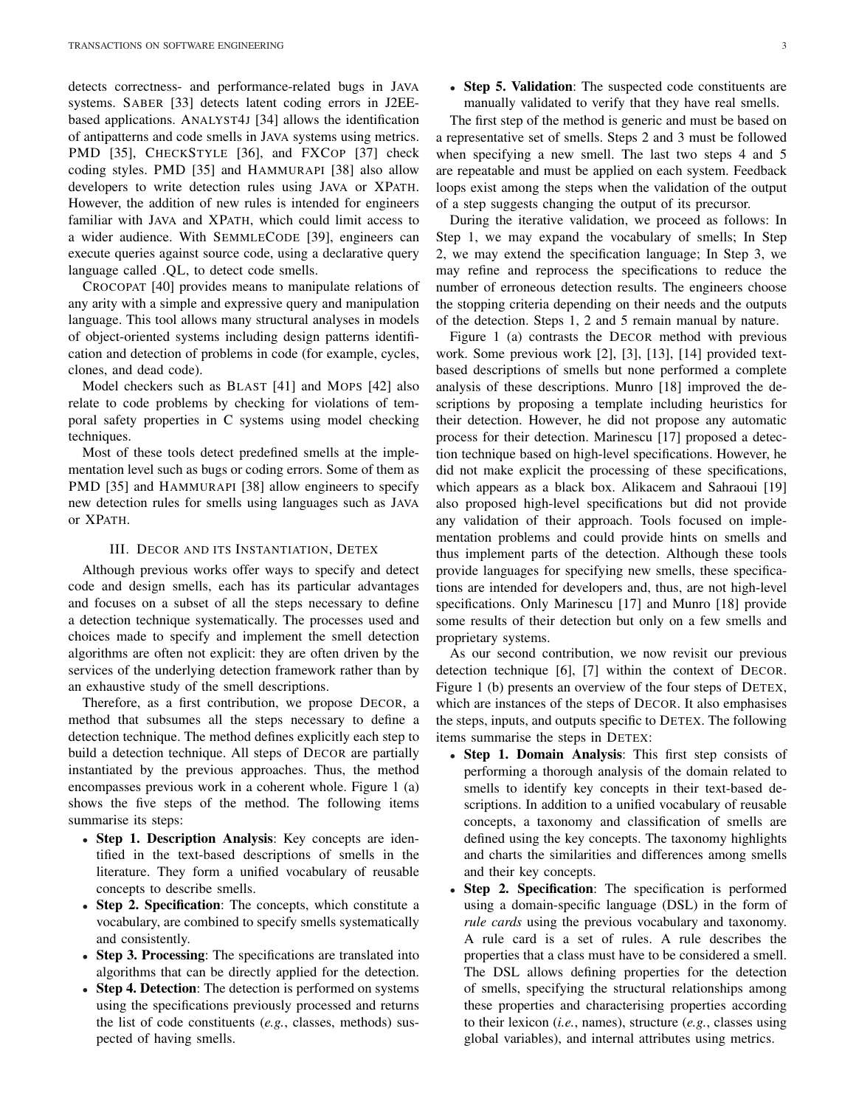detects correctness- and performance-related bugs in JAVA systems. SABER [33] detects latent coding errors in J2EEbased applications. ANALYST4J [34] allows the identification of antipatterns and code smells in JAVA systems using metrics. PMD [35], CHECKSTYLE [36], and FXCOP [37] check coding styles. PMD [35] and HAMMURAPI [38] also allow developers to write detection rules using JAVA or XPATH. However, the addition of new rules is intended for engineers familiar with JAVA and XPATH, which could limit access to a wider audience. With SEMMLECODE [39], engineers can execute queries against source code, using a declarative query language called .QL, to detect code smells.

CROCOPAT [40] provides means to manipulate relations of any arity with a simple and expressive query and manipulation language. This tool allows many structural analyses in models of object-oriented systems including design patterns identification and detection of problems in code (for example, cycles, clones, and dead code).

Model checkers such as BLAST [41] and MOPS [42] also relate to code problems by checking for violations of temporal safety properties in C systems using model checking techniques.

Most of these tools detect predefined smells at the implementation level such as bugs or coding errors. Some of them as PMD [35] and HAMMURAPI [38] allow engineers to specify new detection rules for smells using languages such as JAVA or XPATH.

#### III. DECOR AND ITS INSTANTIATION, DETEX

Although previous works offer ways to specify and detect code and design smells, each has its particular advantages and focuses on a subset of all the steps necessary to define a detection technique systematically. The processes used and choices made to specify and implement the smell detection algorithms are often not explicit: they are often driven by the services of the underlying detection framework rather than by an exhaustive study of the smell descriptions.

Therefore, as a first contribution, we propose DECOR, a method that subsumes all the steps necessary to define a detection technique. The method defines explicitly each step to build a detection technique. All steps of DECOR are partially instantiated by the previous approaches. Thus, the method encompasses previous work in a coherent whole. Figure 1 (a) shows the five steps of the method. The following items summarise its steps:

- Step 1. Description Analysis: Key concepts are identified in the text-based descriptions of smells in the literature. They form a unified vocabulary of reusable concepts to describe smells.
- Step 2. Specification: The concepts, which constitute a vocabulary, are combined to specify smells systematically and consistently.
- Step 3. Processing: The specifications are translated into algorithms that can be directly applied for the detection.
- Step 4. Detection: The detection is performed on systems using the specifications previously processed and returns the list of code constituents (*e.g.*, classes, methods) suspected of having smells.

• Step 5. Validation: The suspected code constituents are manually validated to verify that they have real smells.

The first step of the method is generic and must be based on a representative set of smells. Steps 2 and 3 must be followed when specifying a new smell. The last two steps 4 and 5 are repeatable and must be applied on each system. Feedback loops exist among the steps when the validation of the output of a step suggests changing the output of its precursor.

During the iterative validation, we proceed as follows: In Step 1, we may expand the vocabulary of smells; In Step 2, we may extend the specification language; In Step 3, we may refine and reprocess the specifications to reduce the number of erroneous detection results. The engineers choose the stopping criteria depending on their needs and the outputs of the detection. Steps 1, 2 and 5 remain manual by nature.

Figure 1 (a) contrasts the DECOR method with previous work. Some previous work [2], [3], [13], [14] provided textbased descriptions of smells but none performed a complete analysis of these descriptions. Munro [18] improved the descriptions by proposing a template including heuristics for their detection. However, he did not propose any automatic process for their detection. Marinescu [17] proposed a detection technique based on high-level specifications. However, he did not make explicit the processing of these specifications, which appears as a black box. Alikacem and Sahraoui [19] also proposed high-level specifications but did not provide any validation of their approach. Tools focused on implementation problems and could provide hints on smells and thus implement parts of the detection. Although these tools provide languages for specifying new smells, these specifications are intended for developers and, thus, are not high-level specifications. Only Marinescu [17] and Munro [18] provide some results of their detection but only on a few smells and proprietary systems.

As our second contribution, we now revisit our previous detection technique [6], [7] within the context of DECOR. Figure 1 (b) presents an overview of the four steps of DETEX, which are instances of the steps of DECOR. It also emphasises the steps, inputs, and outputs specific to DETEX. The following items summarise the steps in DETEX:

- Step 1. Domain Analysis: This first step consists of performing a thorough analysis of the domain related to smells to identify key concepts in their text-based descriptions. In addition to a unified vocabulary of reusable concepts, a taxonomy and classification of smells are defined using the key concepts. The taxonomy highlights and charts the similarities and differences among smells and their key concepts.
- **Step 2. Specification:** The specification is performed using a domain-specific language (DSL) in the form of *rule cards* using the previous vocabulary and taxonomy. A rule card is a set of rules. A rule describes the properties that a class must have to be considered a smell. The DSL allows defining properties for the detection of smells, specifying the structural relationships among these properties and characterising properties according to their lexicon (*i.e.*, names), structure (*e.g.*, classes using global variables), and internal attributes using metrics.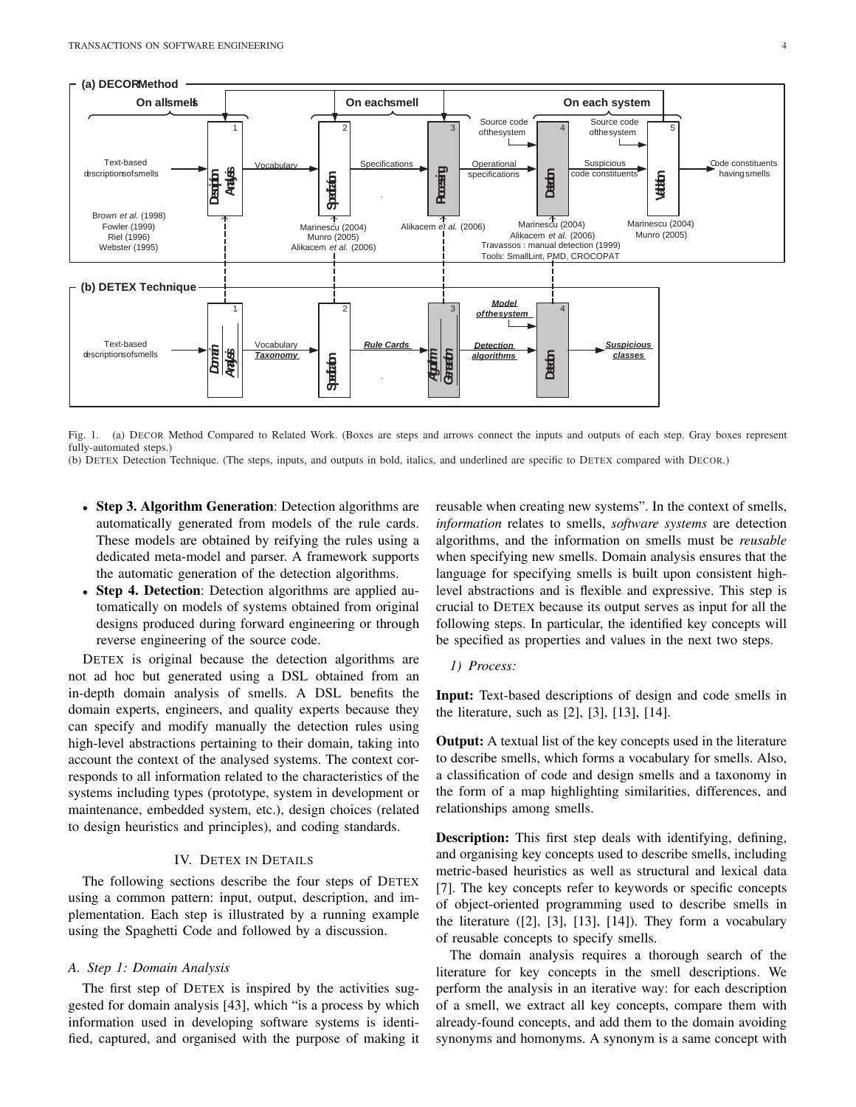

Fig. 1. (a) DECOR Method Compared to Related Work. (Boxes are steps and arrows connect the inputs and outputs of each step. Gray boxes represent fully-automated steps.)

- (b) DETEX Detection Technique. (The steps, inputs, and outputs in bold, italics, and underlined are specific to DETEX compared with DECOR.)
	- Step 3. Algorithm Generation: Detection algorithms are automatically generated from models of the rule cards. These models are obtained by reifying the rules using a dedicated meta-model and parser. A framework supports the automatic generation of the detection algorithms.
	- Step 4. Detection: Detection algorithms are applied automatically on models of systems obtained from original designs produced during forward engineering or through reverse engineering of the source code.

DETEX is original because the detection algorithms are not ad hoc but generated using a DSL obtained from an in-depth domain analysis of smells. A DSL benefits the domain experts, engineers, and quality experts because they can specify and modify manually the detection rules using high-level abstractions pertaining to their domain, taking into account the context of the analysed systems. The context corresponds to all information related to the characteristics of the systems including types (prototype, system in development or maintenance, embedded system, etc.), design choices (related to design heuristics and principles), and coding standards.

# IV. DETEX IN DETAILS

The following sections describe the four steps of DETEX using a common pattern: input, output, description, and implementation. Each step is illustrated by a running example using the Spaghetti Code and followed by a discussion.

# *A. Step 1: Domain Analysis*

The first step of DETEX is inspired by the activities suggested for domain analysis [43], which "is a process by which information used in developing software systems is identified, captured, and organised with the purpose of making it reusable when creating new systems". In the context of smells, *information* relates to smells, *software systems* are detection algorithms, and the information on smells must be *reusable* when specifying new smells. Domain analysis ensures that the language for specifying smells is built upon consistent highlevel abstractions and is flexible and expressive. This step is crucial to DETEX because its output serves as input for all the following steps. In particular, the identified key concepts will be specified as properties and values in the next two steps.

*1) Process:*

Input: Text-based descriptions of design and code smells in the literature, such as [2], [3], [13], [14].

**Output:** A textual list of the key concepts used in the literature to describe smells, which forms a vocabulary for smells. Also, a classification of code and design smells and a taxonomy in the form of a map highlighting similarities, differences, and relationships among smells.

Description: This first step deals with identifying, defining, and organising key concepts used to describe smells, including metric-based heuristics as well as structural and lexical data [7]. The key concepts refer to keywords or specific concepts of object-oriented programming used to describe smells in the literature  $([2], [3], [13], [14])$ . They form a vocabulary of reusable concepts to specify smells.

The domain analysis requires a thorough search of the literature for key concepts in the smell descriptions. We perform the analysis in an iterative way: for each description of a smell, we extract all key concepts, compare them with already-found concepts, and add them to the domain avoiding synonyms and homonyms. A synonym is a same concept with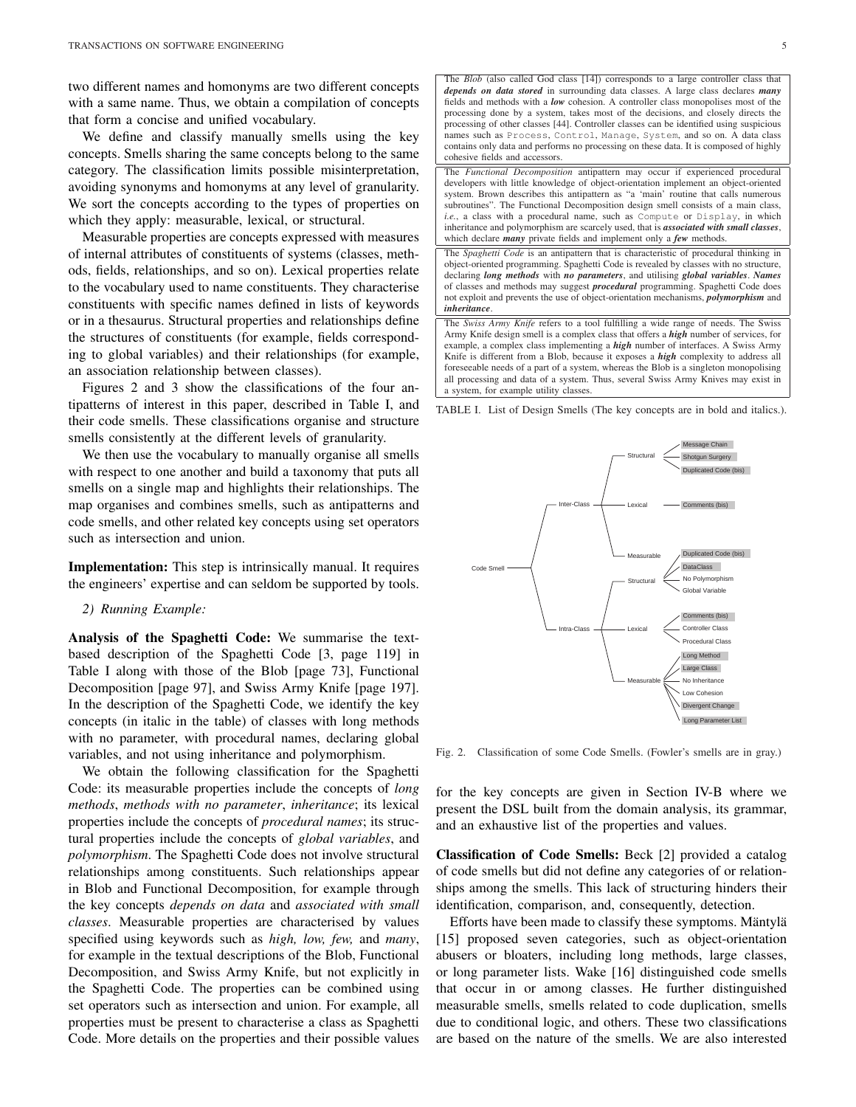two different names and homonyms are two different concepts with a same name. Thus, we obtain a compilation of concepts that form a concise and unified vocabulary.

We define and classify manually smells using the key concepts. Smells sharing the same concepts belong to the same category. The classification limits possible misinterpretation, avoiding synonyms and homonyms at any level of granularity. We sort the concepts according to the types of properties on which they apply: measurable, lexical, or structural.

Measurable properties are concepts expressed with measures of internal attributes of constituents of systems (classes, methods, fields, relationships, and so on). Lexical properties relate to the vocabulary used to name constituents. They characterise constituents with specific names defined in lists of keywords or in a thesaurus. Structural properties and relationships define the structures of constituents (for example, fields corresponding to global variables) and their relationships (for example, an association relationship between classes).

Figures 2 and 3 show the classifications of the four antipatterns of interest in this paper, described in Table I, and their code smells. These classifications organise and structure smells consistently at the different levels of granularity.

We then use the vocabulary to manually organise all smells with respect to one another and build a taxonomy that puts all smells on a single map and highlights their relationships. The map organises and combines smells, such as antipatterns and code smells, and other related key concepts using set operators such as intersection and union.

Implementation: This step is intrinsically manual. It requires the engineers' expertise and can seldom be supported by tools.

#### *2) Running Example:*

Analysis of the Spaghetti Code: We summarise the textbased description of the Spaghetti Code [3, page 119] in Table I along with those of the Blob [page 73], Functional Decomposition [page 97], and Swiss Army Knife [page 197]. In the description of the Spaghetti Code, we identify the key concepts (in italic in the table) of classes with long methods with no parameter, with procedural names, declaring global variables, and not using inheritance and polymorphism.

We obtain the following classification for the Spaghetti Code: its measurable properties include the concepts of *long methods*, *methods with no parameter*, *inheritance*; its lexical properties include the concepts of *procedural names*; its structural properties include the concepts of *global variables*, and *polymorphism*. The Spaghetti Code does not involve structural relationships among constituents. Such relationships appear in Blob and Functional Decomposition, for example through the key concepts *depends on data* and *associated with small classes*. Measurable properties are characterised by values specified using keywords such as *high, low, few,* and *many*, for example in the textual descriptions of the Blob, Functional Decomposition, and Swiss Army Knife, but not explicitly in the Spaghetti Code. The properties can be combined using set operators such as intersection and union. For example, all properties must be present to characterise a class as Spaghetti Code. More details on the properties and their possible values



TABLE I. List of Design Smells (The key concepts are in bold and italics.).



Fig. 2. Classification of some Code Smells. (Fowler's smells are in gray.)

for the key concepts are given in Section IV-B where we present the DSL built from the domain analysis, its grammar, and an exhaustive list of the properties and values.

Classification of Code Smells: Beck [2] provided a catalog of code smells but did not define any categories of or relationships among the smells. This lack of structuring hinders their identification, comparison, and, consequently, detection.

Efforts have been made to classify these symptoms. Mäntylä [15] proposed seven categories, such as object-orientation abusers or bloaters, including long methods, large classes, or long parameter lists. Wake [16] distinguished code smells that occur in or among classes. He further distinguished measurable smells, smells related to code duplication, smells due to conditional logic, and others. These two classifications are based on the nature of the smells. We are also interested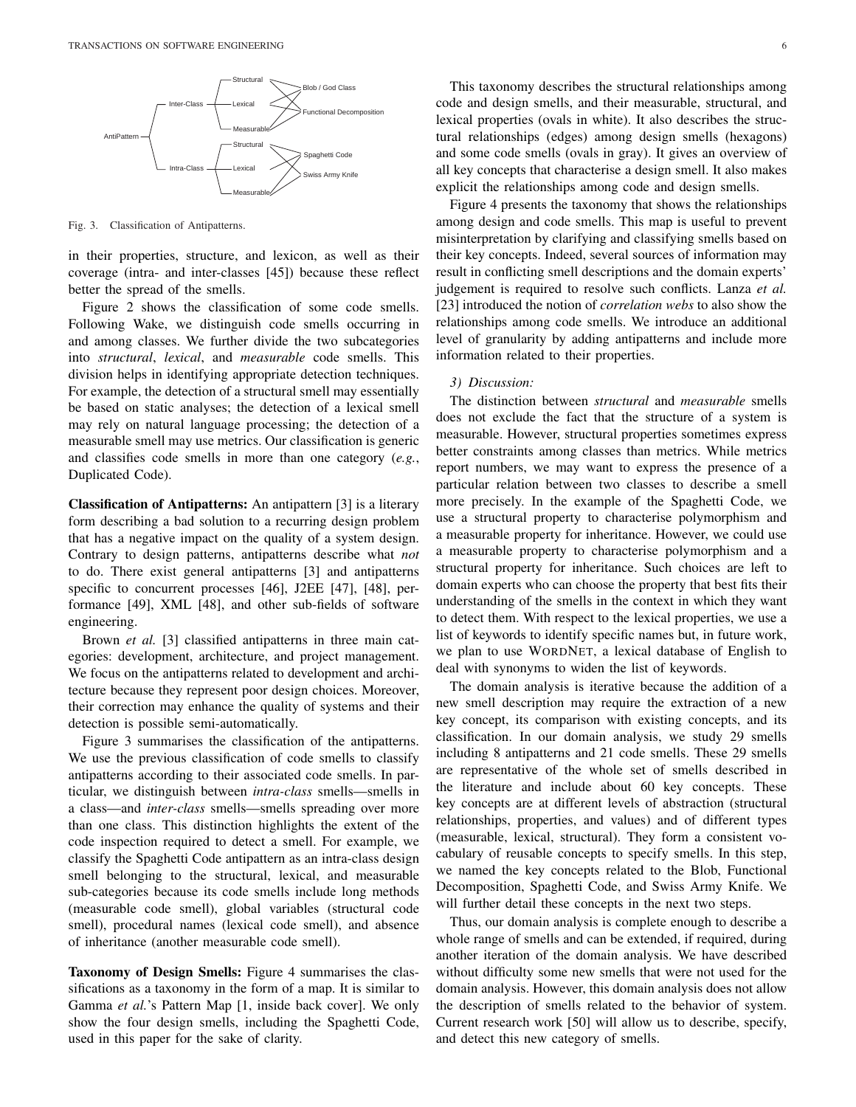

Fig. 3. Classification of Antipatterns.

in their properties, structure, and lexicon, as well as their coverage (intra- and inter-classes [45]) because these reflect better the spread of the smells.

Figure 2 shows the classification of some code smells. Following Wake, we distinguish code smells occurring in and among classes. We further divide the two subcategories into *structural*, *lexical*, and *measurable* code smells. This division helps in identifying appropriate detection techniques. For example, the detection of a structural smell may essentially be based on static analyses; the detection of a lexical smell may rely on natural language processing; the detection of a measurable smell may use metrics. Our classification is generic and classifies code smells in more than one category (*e.g.*, Duplicated Code).

Classification of Antipatterns: An antipattern [3] is a literary form describing a bad solution to a recurring design problem that has a negative impact on the quality of a system design. Contrary to design patterns, antipatterns describe what *not* to do. There exist general antipatterns [3] and antipatterns specific to concurrent processes [46], J2EE [47], [48], performance [49], XML [48], and other sub-fields of software engineering.

Brown *et al.* [3] classified antipatterns in three main categories: development, architecture, and project management. We focus on the antipatterns related to development and architecture because they represent poor design choices. Moreover, their correction may enhance the quality of systems and their detection is possible semi-automatically.

Figure 3 summarises the classification of the antipatterns. We use the previous classification of code smells to classify antipatterns according to their associated code smells. In particular, we distinguish between *intra-class* smells—smells in a class—and *inter-class* smells—smells spreading over more than one class. This distinction highlights the extent of the code inspection required to detect a smell. For example, we classify the Spaghetti Code antipattern as an intra-class design smell belonging to the structural, lexical, and measurable sub-categories because its code smells include long methods (measurable code smell), global variables (structural code smell), procedural names (lexical code smell), and absence of inheritance (another measurable code smell).

Taxonomy of Design Smells: Figure 4 summarises the classifications as a taxonomy in the form of a map. It is similar to Gamma *et al.*'s Pattern Map [1, inside back cover]. We only show the four design smells, including the Spaghetti Code, used in this paper for the sake of clarity.

This taxonomy describes the structural relationships among code and design smells, and their measurable, structural, and lexical properties (ovals in white). It also describes the structural relationships (edges) among design smells (hexagons) and some code smells (ovals in gray). It gives an overview of all key concepts that characterise a design smell. It also makes explicit the relationships among code and design smells.

Figure 4 presents the taxonomy that shows the relationships among design and code smells. This map is useful to prevent misinterpretation by clarifying and classifying smells based on their key concepts. Indeed, several sources of information may result in conflicting smell descriptions and the domain experts' judgement is required to resolve such conflicts. Lanza *et al.* [23] introduced the notion of *correlation webs* to also show the relationships among code smells. We introduce an additional level of granularity by adding antipatterns and include more information related to their properties.

## *3) Discussion:*

The distinction between *structural* and *measurable* smells does not exclude the fact that the structure of a system is measurable. However, structural properties sometimes express better constraints among classes than metrics. While metrics report numbers, we may want to express the presence of a particular relation between two classes to describe a smell more precisely. In the example of the Spaghetti Code, we use a structural property to characterise polymorphism and a measurable property for inheritance. However, we could use a measurable property to characterise polymorphism and a structural property for inheritance. Such choices are left to domain experts who can choose the property that best fits their understanding of the smells in the context in which they want to detect them. With respect to the lexical properties, we use a list of keywords to identify specific names but, in future work, we plan to use WORDNET, a lexical database of English to deal with synonyms to widen the list of keywords.

The domain analysis is iterative because the addition of a new smell description may require the extraction of a new key concept, its comparison with existing concepts, and its classification. In our domain analysis, we study 29 smells including 8 antipatterns and 21 code smells. These 29 smells are representative of the whole set of smells described in the literature and include about 60 key concepts. These key concepts are at different levels of abstraction (structural relationships, properties, and values) and of different types (measurable, lexical, structural). They form a consistent vocabulary of reusable concepts to specify smells. In this step, we named the key concepts related to the Blob, Functional Decomposition, Spaghetti Code, and Swiss Army Knife. We will further detail these concepts in the next two steps.

Thus, our domain analysis is complete enough to describe a whole range of smells and can be extended, if required, during another iteration of the domain analysis. We have described without difficulty some new smells that were not used for the domain analysis. However, this domain analysis does not allow the description of smells related to the behavior of system. Current research work [50] will allow us to describe, specify, and detect this new category of smells.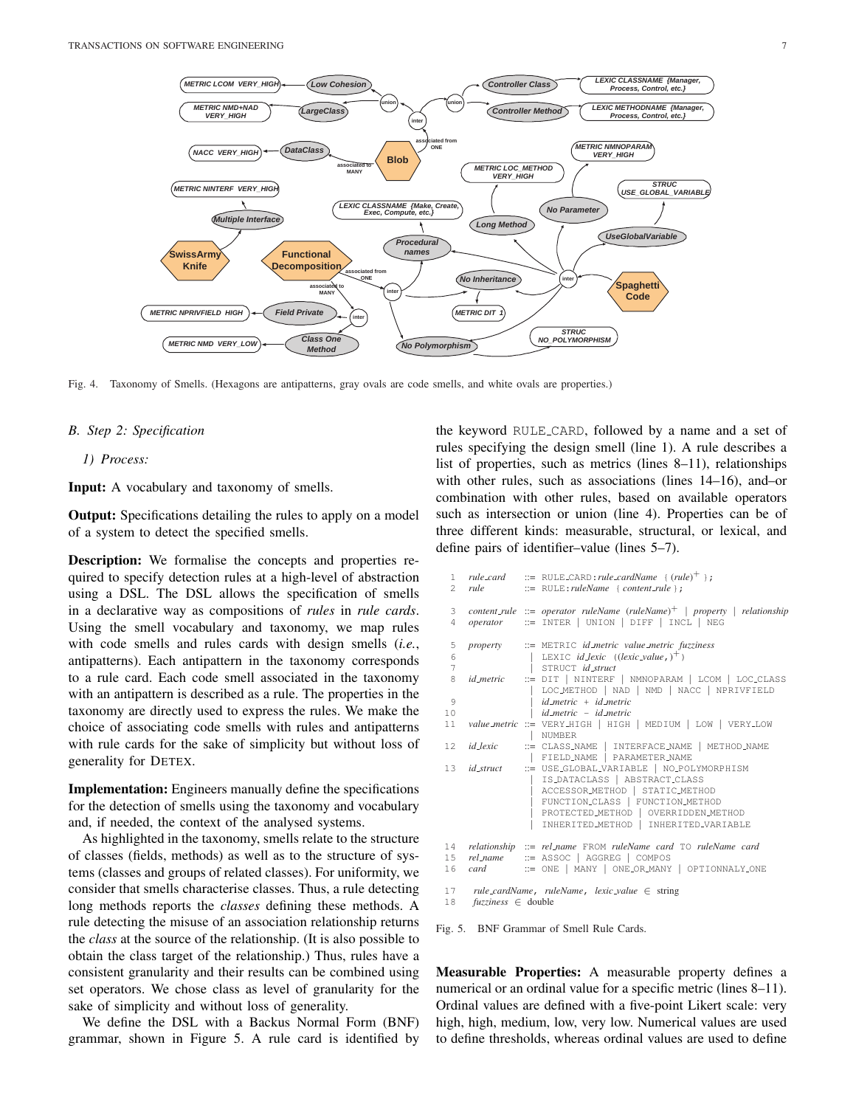

Fig. 4. Taxonomy of Smells. (Hexagons are antipatterns, gray ovals are code smells, and white ovals are properties.)

#### *B. Step 2: Specification*

*1) Process:*

Input: A vocabulary and taxonomy of smells.

**Output:** Specifications detailing the rules to apply on a model of a system to detect the specified smells.

Description: We formalise the concepts and properties required to specify detection rules at a high-level of abstraction using a DSL. The DSL allows the specification of smells in a declarative way as compositions of *rules* in *rule cards*. Using the smell vocabulary and taxonomy, we map rules with code smells and rules cards with design smells (*i.e.*, antipatterns). Each antipattern in the taxonomy corresponds to a rule card. Each code smell associated in the taxonomy with an antipattern is described as a rule. The properties in the taxonomy are directly used to express the rules. We make the choice of associating code smells with rules and antipatterns with rule cards for the sake of simplicity but without loss of generality for DETEX.

Implementation: Engineers manually define the specifications for the detection of smells using the taxonomy and vocabulary and, if needed, the context of the analysed systems.

As highlighted in the taxonomy, smells relate to the structure of classes (fields, methods) as well as to the structure of systems (classes and groups of related classes). For uniformity, we consider that smells characterise classes. Thus, a rule detecting long methods reports the *classes* defining these methods. A rule detecting the misuse of an association relationship returns the *class* at the source of the relationship. (It is also possible to obtain the class target of the relationship.) Thus, rules have a consistent granularity and their results can be combined using set operators. We chose class as level of granularity for the sake of simplicity and without loss of generality.

We define the DSL with a Backus Normal Form (BNF) grammar, shown in Figure 5. A rule card is identified by the keyword RULE CARD, followed by a name and a set of rules specifying the design smell (line 1). A rule describes a list of properties, such as metrics (lines 8–11), relationships with other rules, such as associations (lines 14–16), and–or combination with other rules, based on available operators such as intersection or union (line 4). Properties can be of three different kinds: measurable, structural, or lexical, and define pairs of identifier–value (lines 5–7).

|                     |      | 1 $rule\_card$ ::= RULE_CARD:rule_cardName { $(rule)^{+}$ };<br>2 rule ::= RULE:ruleName { content_rule };                                                                                                                                        |
|---------------------|------|---------------------------------------------------------------------------------------------------------------------------------------------------------------------------------------------------------------------------------------------------|
| 3<br>$\overline{4}$ |      | content_rule ::= operator ruleName (ruleName) <sup>+</sup>   property   relationship<br>$operator$ $::=$ INTER   UNION   DIFF   INCL   NEG                                                                                                        |
| 5                   |      | property ::= METRIC id_metric value_metric fuzziness                                                                                                                                                                                              |
| 6<br>$\overline{7}$ |      | LEXIC <i>id_lexic</i> $((lexic\_value, )^+)$<br>STRUCT <i>id_struct</i>                                                                                                                                                                           |
| 8                   |      | $id\_metric$ ::= $\text{DIT}$   NINTERF   NMNOPARAM   LCOM   LOC_CLASS<br>LOC_METHOD   NAD   NMD   NACC   NPRIVFIELD                                                                                                                              |
| $\circ$             |      | $id$ -metric + $id$ -metric                                                                                                                                                                                                                       |
| 10                  |      | id_metric - id_metric                                                                                                                                                                                                                             |
| 11                  |      | value_metric ::= VERY_HIGH   HIGH   MEDIUM   LOW   VERY_LOW<br>  NUMBER                                                                                                                                                                           |
| 12 <sup>°</sup>     |      | $id\_lexic$ $::=$ $CLASS\_NAME$   $INTERFACE\_NAME$   $METHOD\_NAME$<br>  FIELD_NAME   PARAMETER_NAME                                                                                                                                             |
| 13                  |      | $id\_struct$ $::=$ USE_GLOBAL_VARIABLE   NO_POLYMORPHISM<br>IS_DATACLASS   ABSTRACT_CLASS<br>ACCESSOR_METHOD   STATIC_METHOD<br>FUNCTION_CLASS   FUNCTION_METHOD<br>PROTECTED METHOD   OVERRIDDEN METHOD<br>INHERITED METHOD   INHERITED VARIABLE |
| 14<br>15<br>16      | card | relationship ::= rel_name FROM ruleName card TO ruleName card<br>rel_name ::= ASSOC   AGGREG   COMPOS<br>:= ONE   MANY   ONE_OR_MANY   OPTIONNALY_ONE                                                                                             |
|                     |      | 17 rule_cardName, ruleName, lexic_value $\in$ string                                                                                                                                                                                              |

18 *fuzziness* ∈ double

Fig. 5. BNF Grammar of Smell Rule Cards.

Measurable Properties: A measurable property defines a numerical or an ordinal value for a specific metric (lines 8–11). Ordinal values are defined with a five-point Likert scale: very high, high, medium, low, very low. Numerical values are used to define thresholds, whereas ordinal values are used to define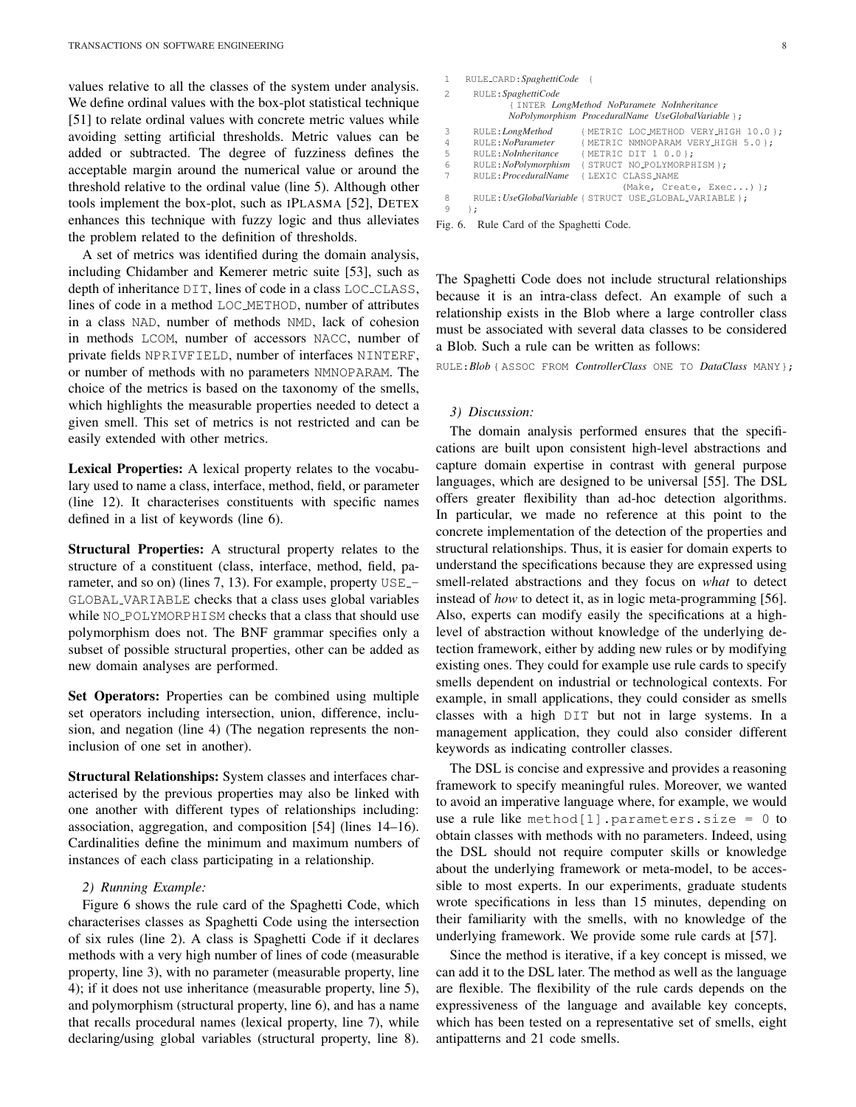values relative to all the classes of the system under analysis. We define ordinal values with the box-plot statistical technique [51] to relate ordinal values with concrete metric values while avoiding setting artificial thresholds. Metric values can be added or subtracted. The degree of fuzziness defines the acceptable margin around the numerical value or around the threshold relative to the ordinal value (line 5). Although other tools implement the box-plot, such as IPLASMA [52], DETEX enhances this technique with fuzzy logic and thus alleviates the problem related to the definition of thresholds.

A set of metrics was identified during the domain analysis, including Chidamber and Kemerer metric suite [53], such as depth of inheritance DIT, lines of code in a class LOC CLASS, lines of code in a method LOC METHOD, number of attributes in a class NAD, number of methods NMD, lack of cohesion in methods LCOM, number of accessors NACC, number of private fields NPRIVFIELD, number of interfaces NINTERF, or number of methods with no parameters NMNOPARAM. The choice of the metrics is based on the taxonomy of the smells, which highlights the measurable properties needed to detect a given smell. This set of metrics is not restricted and can be easily extended with other metrics.

Lexical Properties: A lexical property relates to the vocabulary used to name a class, interface, method, field, or parameter (line 12). It characterises constituents with specific names defined in a list of keywords (line 6).

Structural Properties: A structural property relates to the structure of a constituent (class, interface, method, field, parameter, and so on) (lines 7, 13). For example, property USE\_-GLOBAL VARIABLE checks that a class uses global variables while NO\_POLYMORPHISM checks that a class that should use polymorphism does not. The BNF grammar specifies only a subset of possible structural properties, other can be added as new domain analyses are performed.

Set Operators: Properties can be combined using multiple set operators including intersection, union, difference, inclusion, and negation (line 4) (The negation represents the noninclusion of one set in another).

Structural Relationships: System classes and interfaces characterised by the previous properties may also be linked with one another with different types of relationships including: association, aggregation, and composition [54] (lines 14–16). Cardinalities define the minimum and maximum numbers of instances of each class participating in a relationship.

## *2) Running Example:*

Figure 6 shows the rule card of the Spaghetti Code, which characterises classes as Spaghetti Code using the intersection of six rules (line 2). A class is Spaghetti Code if it declares methods with a very high number of lines of code (measurable property, line 3), with no parameter (measurable property, line 4); if it does not use inheritance (measurable property, line 5), and polymorphism (structural property, line 6), and has a name that recalls procedural names (lexical property, line 7), while declaring/using global variables (structural property, line 8).

```
1 RULE CARD:SpaghettiCode {
2 RULE:SpaghettiCode
             { INTER LongMethod NoParamete NoInheritance
            NoPolymorphism ProceduralName UseGlobalVariable };
3 RULE:LongMethod { METRIC LOC METHOD VERY HIGH 10.0 };
4 RULE:NoParameter { METRIC NMNOPARAM VERY HIGH 5.0 };
5 RULE:NoInheritance { METRIC DIT 1 0.0 };
6 RULE:NoPolymorphism { STRUCT NO_POLYMORPHISM };<br>7 RULE:ProceduralName { LEXIC CLASS_NAME
7 RULE:ProceduralName { LEXIC CLASS NAME
                                   (Make, Create, Exec...) };
8 RULE:UseGlobalVariable { STRUCT USE GLOBAL VARIABLE };
9 };
```
Fig. 6. Rule Card of the Spaghetti Code.

The Spaghetti Code does not include structural relationships because it is an intra-class defect. An example of such a relationship exists in the Blob where a large controller class must be associated with several data classes to be considered a Blob. Such a rule can be written as follows:

RULE:*Blob* { ASSOC FROM *ControllerClass* ONE TO *DataClass* MANY};

#### *3) Discussion:*

The domain analysis performed ensures that the specifications are built upon consistent high-level abstractions and capture domain expertise in contrast with general purpose languages, which are designed to be universal [55]. The DSL offers greater flexibility than ad-hoc detection algorithms. In particular, we made no reference at this point to the concrete implementation of the detection of the properties and structural relationships. Thus, it is easier for domain experts to understand the specifications because they are expressed using smell-related abstractions and they focus on *what* to detect instead of *how* to detect it, as in logic meta-programming [56]. Also, experts can modify easily the specifications at a highlevel of abstraction without knowledge of the underlying detection framework, either by adding new rules or by modifying existing ones. They could for example use rule cards to specify smells dependent on industrial or technological contexts. For example, in small applications, they could consider as smells classes with a high DIT but not in large systems. In a management application, they could also consider different keywords as indicating controller classes.

The DSL is concise and expressive and provides a reasoning framework to specify meaningful rules. Moreover, we wanted to avoid an imperative language where, for example, we would use a rule like method[1].parameters.size =  $0$  to obtain classes with methods with no parameters. Indeed, using the DSL should not require computer skills or knowledge about the underlying framework or meta-model, to be accessible to most experts. In our experiments, graduate students wrote specifications in less than 15 minutes, depending on their familiarity with the smells, with no knowledge of the underlying framework. We provide some rule cards at [57].

Since the method is iterative, if a key concept is missed, we can add it to the DSL later. The method as well as the language are flexible. The flexibility of the rule cards depends on the expressiveness of the language and available key concepts, which has been tested on a representative set of smells, eight antipatterns and 21 code smells.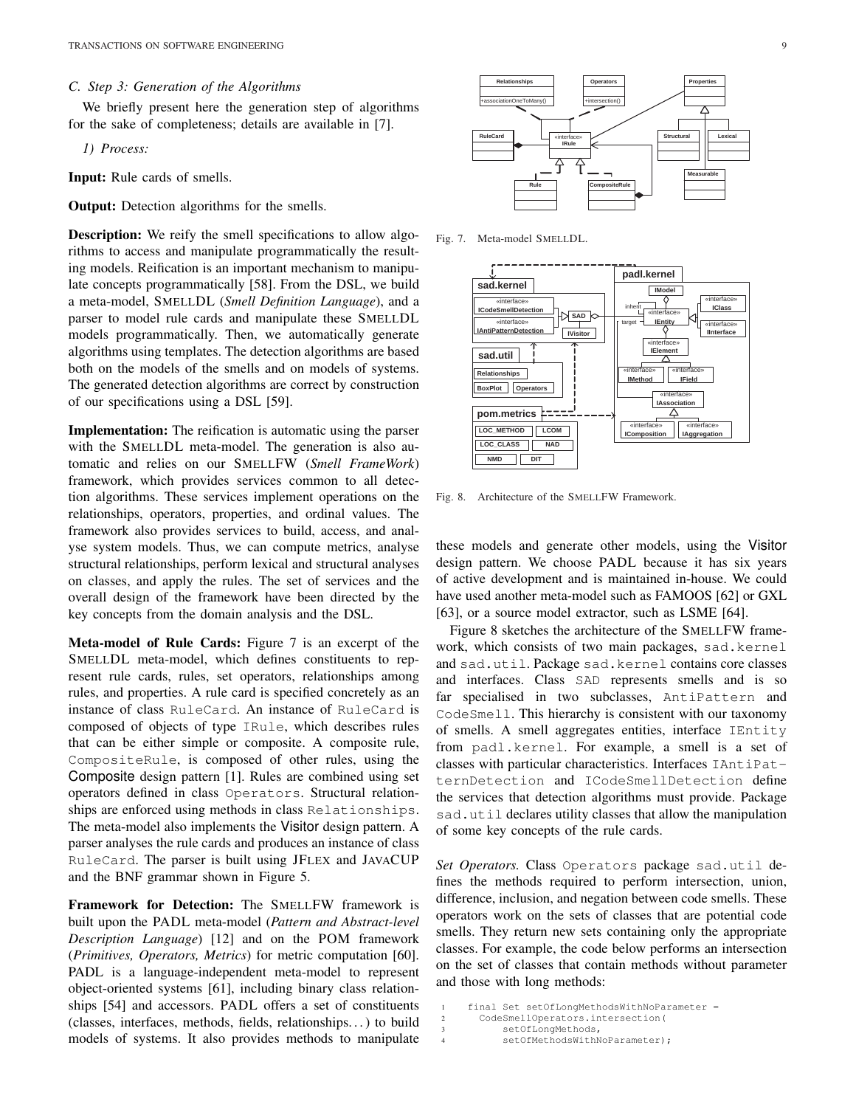## *C. Step 3: Generation of the Algorithms*

We briefly present here the generation step of algorithms for the sake of completeness; details are available in [7].

*1) Process:*

Input: Rule cards of smells.

Output: Detection algorithms for the smells.

**Description:** We reify the smell specifications to allow algorithms to access and manipulate programmatically the resulting models. Reification is an important mechanism to manipulate concepts programmatically [58]. From the DSL, we build a meta-model, SMELLDL (*Smell Definition Language*), and a parser to model rule cards and manipulate these SMELLDL models programmatically. Then, we automatically generate algorithms using templates. The detection algorithms are based both on the models of the smells and on models of systems. The generated detection algorithms are correct by construction of our specifications using a DSL [59].

Implementation: The reification is automatic using the parser with the SMELLDL meta-model. The generation is also automatic and relies on our SMELLFW (*Smell FrameWork*) framework, which provides services common to all detection algorithms. These services implement operations on the relationships, operators, properties, and ordinal values. The framework also provides services to build, access, and analyse system models. Thus, we can compute metrics, analyse structural relationships, perform lexical and structural analyses on classes, and apply the rules. The set of services and the overall design of the framework have been directed by the key concepts from the domain analysis and the DSL.

Meta-model of Rule Cards: Figure 7 is an excerpt of the SMELLDL meta-model, which defines constituents to represent rule cards, rules, set operators, relationships among rules, and properties. A rule card is specified concretely as an instance of class RuleCard. An instance of RuleCard is composed of objects of type IRule, which describes rules that can be either simple or composite. A composite rule, CompositeRule, is composed of other rules, using the Composite design pattern [1]. Rules are combined using set operators defined in class Operators. Structural relationships are enforced using methods in class Relationships. The meta-model also implements the Visitor design pattern. A parser analyses the rule cards and produces an instance of class RuleCard. The parser is built using JFLEX and JAVACUP and the BNF grammar shown in Figure 5.

Framework for Detection: The SMELLFW framework is built upon the PADL meta-model (*Pattern and Abstract-level Description Language*) [12] and on the POM framework (*Primitives, Operators, Metrics*) for metric computation [60]. PADL is a language-independent meta-model to represent object-oriented systems [61], including binary class relationships [54] and accessors. PADL offers a set of constituents (classes, interfaces, methods, fields, relationships. . . ) to build models of systems. It also provides methods to manipulate



Fig. 7. Meta-model SMELLDL.



Fig. 8. Architecture of the SMELLFW Framework.

these models and generate other models, using the Visitor design pattern. We choose PADL because it has six years of active development and is maintained in-house. We could have used another meta-model such as FAMOOS [62] or GXL [63], or a source model extractor, such as LSME [64].

Figure 8 sketches the architecture of the SMELLFW framework, which consists of two main packages, sad.kernel and sad.util. Package sad.kernel contains core classes and interfaces. Class SAD represents smells and is so far specialised in two subclasses, AntiPattern and CodeSmell. This hierarchy is consistent with our taxonomy of smells. A smell aggregates entities, interface IEntity from padl.kernel. For example, a smell is a set of classes with particular characteristics. Interfaces IAntiPatternDetection and ICodeSmellDetection define the services that detection algorithms must provide. Package sad.util declares utility classes that allow the manipulation of some key concepts of the rule cards.

*Set Operators.* Class Operators package sad.util defines the methods required to perform intersection, union, difference, inclusion, and negation between code smells. These operators work on the sets of classes that are potential code smells. They return new sets containing only the appropriate classes. For example, the code below performs an intersection on the set of classes that contain methods without parameter and those with long methods:

```
1 final Set setOfLongMethodsWithNoParameter =
  2 CodeSmellOperators.intersection(
      setOfLongMethods,
      setOfMethodsWithNoParameter);
```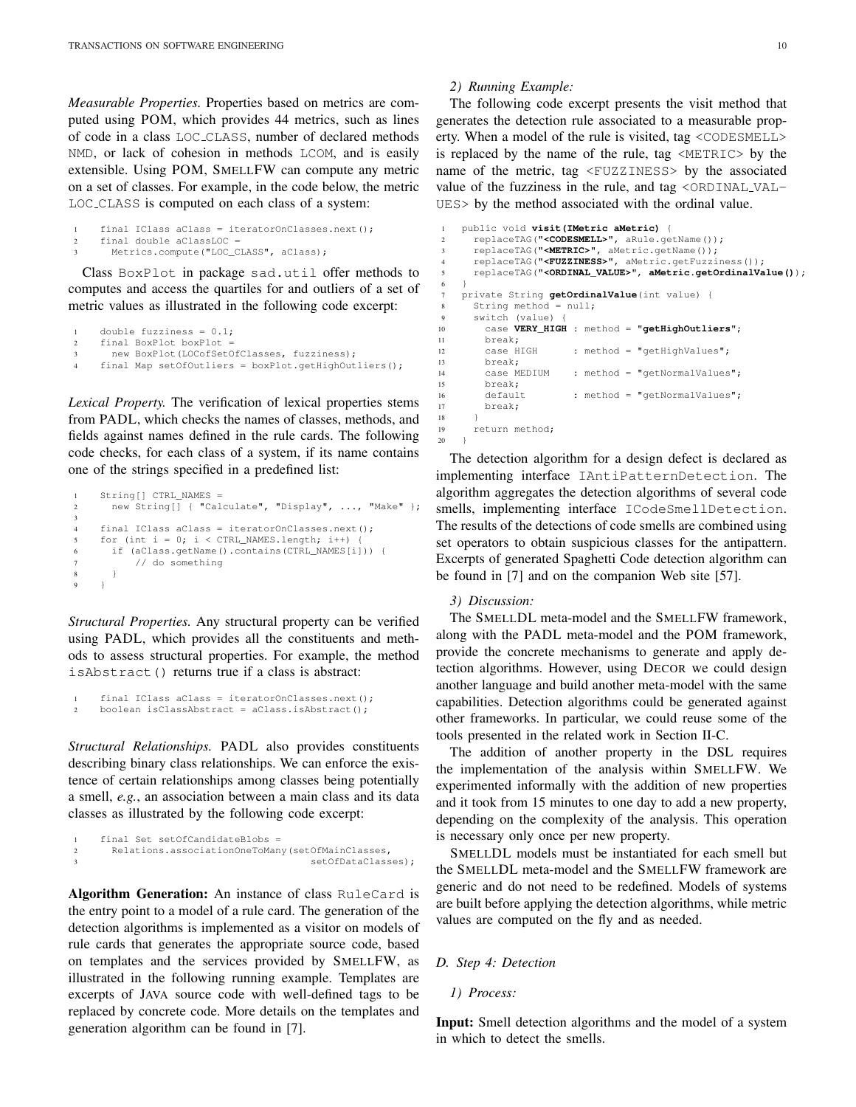*Measurable Properties.* Properties based on metrics are computed using POM, which provides 44 metrics, such as lines of code in a class LOC CLASS, number of declared methods NMD, or lack of cohesion in methods LCOM, and is easily extensible. Using POM, SMELLFW can compute any metric on a set of classes. For example, in the code below, the metric LOC CLASS is computed on each class of a system:

```
1 final IClass aClass = iteratorOnClasses.next();
2 final double aClassLOC =
3 Metrics.compute("LOC_CLASS", aClass);
```
Class BoxPlot in package sad.util offer methods to computes and access the quartiles for and outliers of a set of metric values as illustrated in the following code excerpt:

```
1 double fuzziness = 0.1;<br>2 final BoxPlot boxPlot =
     final BoxPlot boxPlot
       new BoxPlot(LOCofSetOfClasses, fuzziness);
     final Map setOfOutliers = boxPlot.getHighOutliers();
```
*Lexical Property.* The verification of lexical properties stems from PADL, which checks the names of classes, methods, and fields against names defined in the rule cards. The following code checks, for each class of a system, if its name contains one of the strings specified in a predefined list:

```
String[] CTRL_NAMES =
2 new String[] { "Calculate", "Display", ..., "Make" };
3
4 final IClass aClass = iteratorOnClasses.next();
5 for (int i = 0; i < CTRL_NAMES.length; i++) {
6 if (aClass.getName().contains(CTRL_NAMES[i])) {
7 // do something
8 }
9 }
```
*Structural Properties.* Any structural property can be verified using PADL, which provides all the constituents and methods to assess structural properties. For example, the method isAbstract() returns true if a class is abstract:

```
final IClass aClass = iteratorOnClasses.next();
2 boolean isClassAbstract = aClass.isAbstract();
```
*Structural Relationships.* PADL also provides constituents describing binary class relationships. We can enforce the existence of certain relationships among classes being potentially a smell, *e.g.*, an association between a main class and its data classes as illustrated by the following code excerpt:

```
final Set setOfCandidateBlobs =
2 Relations.associationOneToMany(setOfMainClasses,
3 setOfDataClasses);
```
Algorithm Generation: An instance of class RuleCard is the entry point to a model of a rule card. The generation of the detection algorithms is implemented as a visitor on models of rule cards that generates the appropriate source code, based on templates and the services provided by SMELLFW, as illustrated in the following running example. Templates are excerpts of JAVA source code with well-defined tags to be replaced by concrete code. More details on the templates and generation algorithm can be found in [7].

## *2) Running Example:*

The following code excerpt presents the visit method that generates the detection rule associated to a measurable property. When a model of the rule is visited, tag <CODESMELL> is replaced by the name of the rule, tag <METRIC> by the name of the metric, tag <FUZZINESS> by the associated value of the fuzziness in the rule, and tag <ORDINAL VAL-UES> by the method associated with the ordinal value.

```
1 public void visit(IMetric aMetric) {
      2 replaceTAG("<CODESMELL>", aRule.getName());
      3 replaceTAG("<METRIC>", aMetric.getName());
      4 replaceTAG("<FUZZINESS>", aMetric.getFuzziness());
      5 replaceTAG("<ORDINAL_VALUE>", aMetric.getOrdinalValue());
6 }
    private String getOrdinalValue(int value)
8 String method = null;
9 switch (value)<br>10 case VERY HI
        10 case VERY_HIGH : method = "getHighOutliers";
11 break;<br>12 case HIGH
12 case HIGH : method = "getHighValues";<br>13 break;
        break;<br>case MEDIUM
14 case MEDIUM : method = "getNormalValues";<br>15 break:
        15 break;
16 default : method = "getNormalValues";
17 break;
18 }
19 return method;
20 }
```
The detection algorithm for a design defect is declared as implementing interface IAntiPatternDetection. The algorithm aggregates the detection algorithms of several code smells, implementing interface ICodeSmellDetection. The results of the detections of code smells are combined using set operators to obtain suspicious classes for the antipattern. Excerpts of generated Spaghetti Code detection algorithm can be found in [7] and on the companion Web site [57].

# *3) Discussion:*

The SMELLDL meta-model and the SMELLFW framework, along with the PADL meta-model and the POM framework, provide the concrete mechanisms to generate and apply detection algorithms. However, using DECOR we could design another language and build another meta-model with the same capabilities. Detection algorithms could be generated against other frameworks. In particular, we could reuse some of the tools presented in the related work in Section II-C.

The addition of another property in the DSL requires the implementation of the analysis within SMELLFW. We experimented informally with the addition of new properties and it took from 15 minutes to one day to add a new property, depending on the complexity of the analysis. This operation is necessary only once per new property.

SMELLDL models must be instantiated for each smell but the SMELLDL meta-model and the SMELLFW framework are generic and do not need to be redefined. Models of systems are built before applying the detection algorithms, while metric values are computed on the fly and as needed.

#### *D. Step 4: Detection*

*1) Process:*

Input: Smell detection algorithms and the model of a system in which to detect the smells.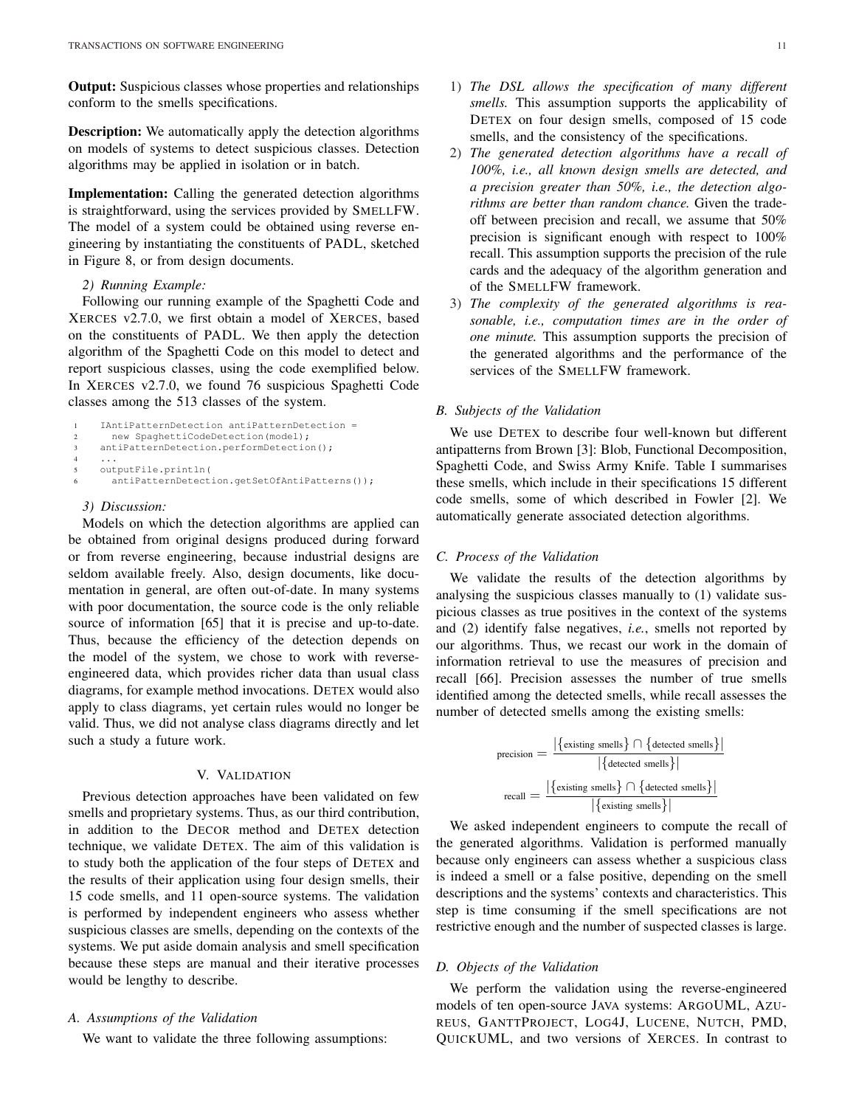Output: Suspicious classes whose properties and relationships conform to the smells specifications.

Description: We automatically apply the detection algorithms on models of systems to detect suspicious classes. Detection algorithms may be applied in isolation or in batch.

Implementation: Calling the generated detection algorithms is straightforward, using the services provided by SMELLFW. The model of a system could be obtained using reverse engineering by instantiating the constituents of PADL, sketched in Figure 8, or from design documents.

# *2) Running Example:*

Following our running example of the Spaghetti Code and XERCES v2.7.0, we first obtain a model of XERCES, based on the constituents of PADL. We then apply the detection algorithm of the Spaghetti Code on this model to detect and report suspicious classes, using the code exemplified below. In XERCES v2.7.0, we found 76 suspicious Spaghetti Code classes among the 513 classes of the system.

```
1 IAntiPatternDetection antiPatternDetection =
2 new SpaghettiCodeDetection(model);
3 antiPatternDetection.performDetection();
4 ...
5 outputFile.println(
6 antiPatternDetection.getSetOfAntiPatterns());
```
### *3) Discussion:*

Models on which the detection algorithms are applied can be obtained from original designs produced during forward or from reverse engineering, because industrial designs are seldom available freely. Also, design documents, like documentation in general, are often out-of-date. In many systems with poor documentation, the source code is the only reliable source of information [65] that it is precise and up-to-date. Thus, because the efficiency of the detection depends on the model of the system, we chose to work with reverseengineered data, which provides richer data than usual class diagrams, for example method invocations. DETEX would also apply to class diagrams, yet certain rules would no longer be valid. Thus, we did not analyse class diagrams directly and let such a study a future work.

## V. VALIDATION

Previous detection approaches have been validated on few smells and proprietary systems. Thus, as our third contribution, in addition to the DECOR method and DETEX detection technique, we validate DETEX. The aim of this validation is to study both the application of the four steps of DETEX and the results of their application using four design smells, their 15 code smells, and 11 open-source systems. The validation is performed by independent engineers who assess whether suspicious classes are smells, depending on the contexts of the systems. We put aside domain analysis and smell specification because these steps are manual and their iterative processes would be lengthy to describe.

#### *A. Assumptions of the Validation*

We want to validate the three following assumptions:

- 1) *The DSL allows the specification of many different smells.* This assumption supports the applicability of DETEX on four design smells, composed of 15 code smells, and the consistency of the specifications.
- 2) *The generated detection algorithms have a recall of 100%, i.e., all known design smells are detected, and a precision greater than 50%, i.e., the detection algorithms are better than random chance.* Given the tradeoff between precision and recall, we assume that 50% precision is significant enough with respect to 100% recall. This assumption supports the precision of the rule cards and the adequacy of the algorithm generation and of the SMELLFW framework.
- 3) *The complexity of the generated algorithms is reasonable, i.e., computation times are in the order of one minute.* This assumption supports the precision of the generated algorithms and the performance of the services of the SMELLFW framework.

## *B. Subjects of the Validation*

We use DETEX to describe four well-known but different antipatterns from Brown [3]: Blob, Functional Decomposition, Spaghetti Code, and Swiss Army Knife. Table I summarises these smells, which include in their specifications 15 different code smells, some of which described in Fowler [2]. We automatically generate associated detection algorithms.

#### *C. Process of the Validation*

We validate the results of the detection algorithms by analysing the suspicious classes manually to (1) validate suspicious classes as true positives in the context of the systems and (2) identify false negatives, *i.e.*, smells not reported by our algorithms. Thus, we recast our work in the domain of information retrieval to use the measures of precision and recall [66]. Precision assesses the number of true smells identified among the detected smells, while recall assesses the number of detected smells among the existing smells:

$$
precision = \frac{|\{existing \text{smells}\} \cap \{ detected \text{smells}\}|\}{|\{ detected \text{smells}\}|\}
$$

$$
recall = \frac{|\{existing \text{smells}\} \cap \{ detected \text{smells}\}|\}{|\{existing \text{smells}\}|\}
$$

We asked independent engineers to compute the recall of the generated algorithms. Validation is performed manually because only engineers can assess whether a suspicious class is indeed a smell or a false positive, depending on the smell descriptions and the systems' contexts and characteristics. This step is time consuming if the smell specifications are not restrictive enough and the number of suspected classes is large.

## *D. Objects of the Validation*

We perform the validation using the reverse-engineered models of ten open-source JAVA systems: ARGOUML, AZU-REUS, GANTTPROJECT, LOG4J, LUCENE, NUTCH, PMD, QUICKUML, and two versions of XERCES. In contrast to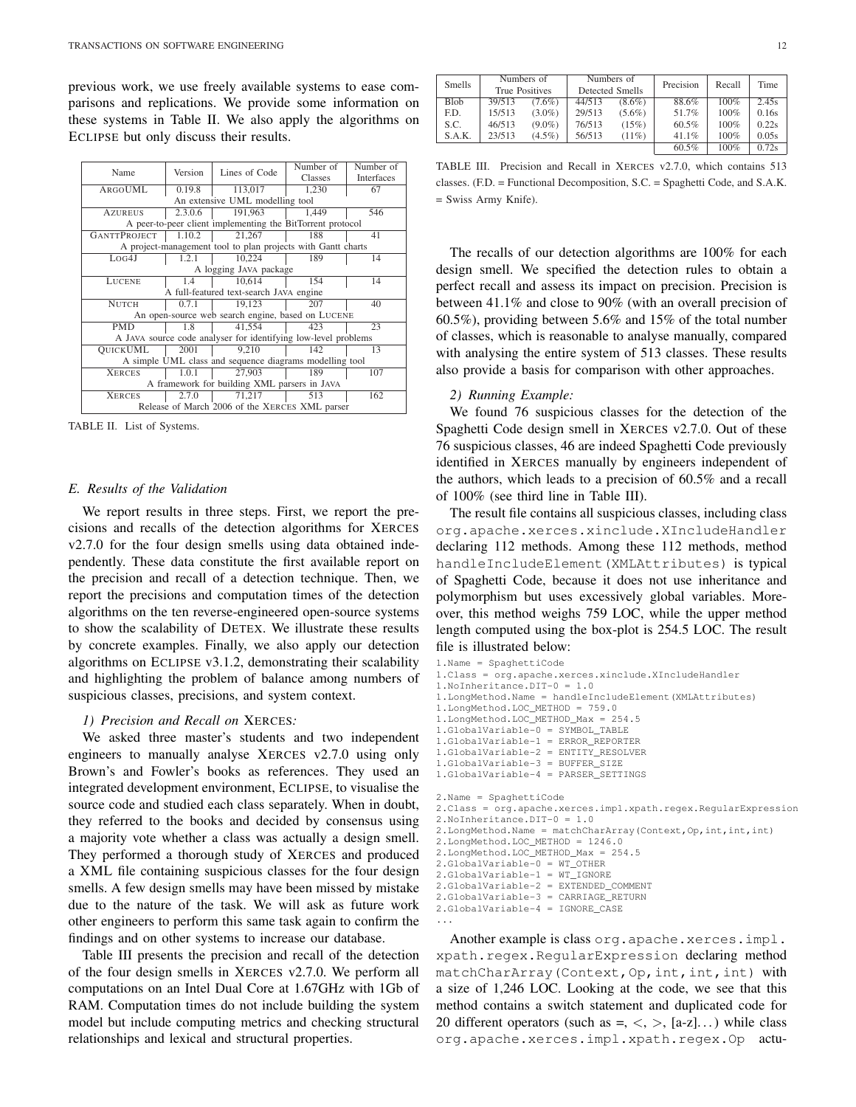previous work, we use freely available systems to ease comparisons and replications. We provide some information on these systems in Table II. We also apply the algorithms on ECLIPSE but only discuss their results.

| Name                                                           | Version | Lines of Code | Number of | Number of  |  |  |  |
|----------------------------------------------------------------|---------|---------------|-----------|------------|--|--|--|
|                                                                |         |               | Classes   | Interfaces |  |  |  |
| ARGOUML                                                        | 0.19.8  | 113,017       | 1.230     | 67         |  |  |  |
| An extensive UML modelling tool                                |         |               |           |            |  |  |  |
| <b>AZUREUS</b>                                                 | 2.3.0.6 | 191,963       | 1,449     | 546        |  |  |  |
| A peer-to-peer client implementing the BitTorrent protocol     |         |               |           |            |  |  |  |
| <b>GANTTPROJECT</b>                                            | 1.10.2  | 21,267        | 41        |            |  |  |  |
| A project-management tool to plan projects with Gantt charts   |         |               |           |            |  |  |  |
| Log4J                                                          | 1.2.1   | 10,224        | 189       | 14         |  |  |  |
| A logging JAVA package                                         |         |               |           |            |  |  |  |
| LUCENE                                                         | 1.4     | 10,614<br>154 |           | 14         |  |  |  |
| A full-featured text-search JAVA engine                        |         |               |           |            |  |  |  |
| <b>NUTCH</b>                                                   | 0.7.1   | 19,123        | 207       | 40         |  |  |  |
| An open-source web search engine, based on LUCENE              |         |               |           |            |  |  |  |
| <b>PMD</b>                                                     | 1.8     | 41.554        | 423       | 23         |  |  |  |
| A JAVA source code analyser for identifying low-level problems |         |               |           |            |  |  |  |
| <b>OUICKUML</b><br>2001                                        |         | 9,210         | 142       | 13         |  |  |  |
| A simple UML class and sequence diagrams modelling tool        |         |               |           |            |  |  |  |
| <b>XERCES</b>                                                  | 1.0.1   | 27,903        | 189       | 107        |  |  |  |
| A framework for building XML parsers in JAVA                   |         |               |           |            |  |  |  |
| <b>XERCES</b>                                                  | 2.7.0   | 71,217        | 513       | 162        |  |  |  |
| Release of March 2006 of the XERCES XML parser                 |         |               |           |            |  |  |  |

TABLE II. List of Systems.

#### *E. Results of the Validation*

We report results in three steps. First, we report the precisions and recalls of the detection algorithms for XERCES v2.7.0 for the four design smells using data obtained independently. These data constitute the first available report on the precision and recall of a detection technique. Then, we report the precisions and computation times of the detection algorithms on the ten reverse-engineered open-source systems to show the scalability of DETEX. We illustrate these results by concrete examples. Finally, we also apply our detection algorithms on ECLIPSE v3.1.2, demonstrating their scalability and highlighting the problem of balance among numbers of suspicious classes, precisions, and system context.

## *1) Precision and Recall on* XERCES*:*

We asked three master's students and two independent engineers to manually analyse XERCES v2.7.0 using only Brown's and Fowler's books as references. They used an integrated development environment, ECLIPSE, to visualise the source code and studied each class separately. When in doubt, they referred to the books and decided by consensus using a majority vote whether a class was actually a design smell. They performed a thorough study of XERCES and produced a XML file containing suspicious classes for the four design smells. A few design smells may have been missed by mistake due to the nature of the task. We will ask as future work other engineers to perform this same task again to confirm the findings and on other systems to increase our database.

Table III presents the precision and recall of the detection of the four design smells in XERCES v2.7.0. We perform all computations on an Intel Dual Core at 1.67GHz with 1Gb of RAM. Computation times do not include building the system model but include computing metrics and checking structural relationships and lexical and structural properties.

| Smells      | Numbers of<br>True Positives |           |        | Numbers of<br>Detected Smells | Precision | Recall | Time  |
|-------------|------------------------------|-----------|--------|-------------------------------|-----------|--------|-------|
| <b>Blob</b> | 39/513                       | $(7.6\%)$ | 44/513 | $(8.6\%)$                     | 88.6%     | 100%   | 2.45s |
| F.D.        | 15/513                       | $(3.0\%)$ | 29/513 | $(5.6\%)$                     | 51.7%     | 100%   | 0.16s |
| S.C.        | 46/513                       | $(9.0\%)$ | 76/513 | (15%)                         | 60.5%     | 100%   | 0.22s |
| S.A.K.      | 23/513                       | $(4.5\%)$ | 56/513 | $(11\%)$                      | 41.1%     | 100%   | 0.05s |
|             |                              |           |        |                               | 60.5%     | 100%   | 0.72s |

TABLE III. Precision and Recall in XERCES v2.7.0, which contains 513 classes. (F.D. = Functional Decomposition, S.C. = Spaghetti Code, and S.A.K. = Swiss Army Knife).

The recalls of our detection algorithms are 100% for each design smell. We specified the detection rules to obtain a perfect recall and assess its impact on precision. Precision is between 41.1% and close to 90% (with an overall precision of 60.5%), providing between 5.6% and 15% of the total number of classes, which is reasonable to analyse manually, compared with analysing the entire system of 513 classes. These results also provide a basis for comparison with other approaches.

#### *2) Running Example:*

We found 76 suspicious classes for the detection of the Spaghetti Code design smell in XERCES v2.7.0. Out of these 76 suspicious classes, 46 are indeed Spaghetti Code previously identified in XERCES manually by engineers independent of the authors, which leads to a precision of 60.5% and a recall of 100% (see third line in Table III).

The result file contains all suspicious classes, including class org.apache.xerces.xinclude.XIncludeHandler declaring 112 methods. Among these 112 methods, method handleIncludeElement(XMLAttributes) is typical of Spaghetti Code, because it does not use inheritance and polymorphism but uses excessively global variables. Moreover, this method weighs 759 LOC, while the upper method length computed using the box-plot is 254.5 LOC. The result file is illustrated below:

```
1.Name = SpaghettiCode
1.Class = org.apache.xerces.xinclude.XIncludeHandler
1.NoInheritance.DIT-0 = 1.0
1.LongMethod.Name = handleIncludeElement(XMLAttributes)
1.LongMethod.LOC_METHOD = 759.0
1.LongMethod.LOC_METHOD_Max = 254.5
1.GlobalVariable-0 = SYMBOL_TABLE
1.GlobalVariable-1 = ERROR_REPORTER
1.GlobalVariable-2 = ENTITY_RESOLVER
1.GlobalVariable-3 = BUFFER_SIZE
1.GlobalVariable-4 = PARSER_SETTINGS
2.Name = SpaghettiCode
2.Class = org.apache.xerces.impl.xpath.regex.RegularExpression
2.NoInheritance.DIT-0 = 1.0
2. LongMethod. Name = matchCharArray(Context, Op, int, int, int)
2.LongMethod.LOC_METHOD = 1246.0
2.LongMethod.LOC_METHOD_Max = 254.5
2.GlobalVariable-0 = WT_OTHER
2.GlobalVariable-1 = WT_IGNORE
2.GlobalVariable-2 = EXTENDED_COMMENT
2.GlobalVariable-3 = CARRIAGE_RETURN
```

```
2.GlobalVariable-4 = IGNORE_CASE
```
...

Another example is class org.apache.xerces.impl. xpath.regex.RegularExpression declaring method matchCharArray(Context, Op, int, int, int) with a size of 1,246 LOC. Looking at the code, we see that this method contains a switch statement and duplicated code for 20 different operators (such as  $=$ ,  $\lt$ ,  $>$ ,  $[a-z]$ ...) while class org.apache.xerces.impl.xpath.regex.Op actu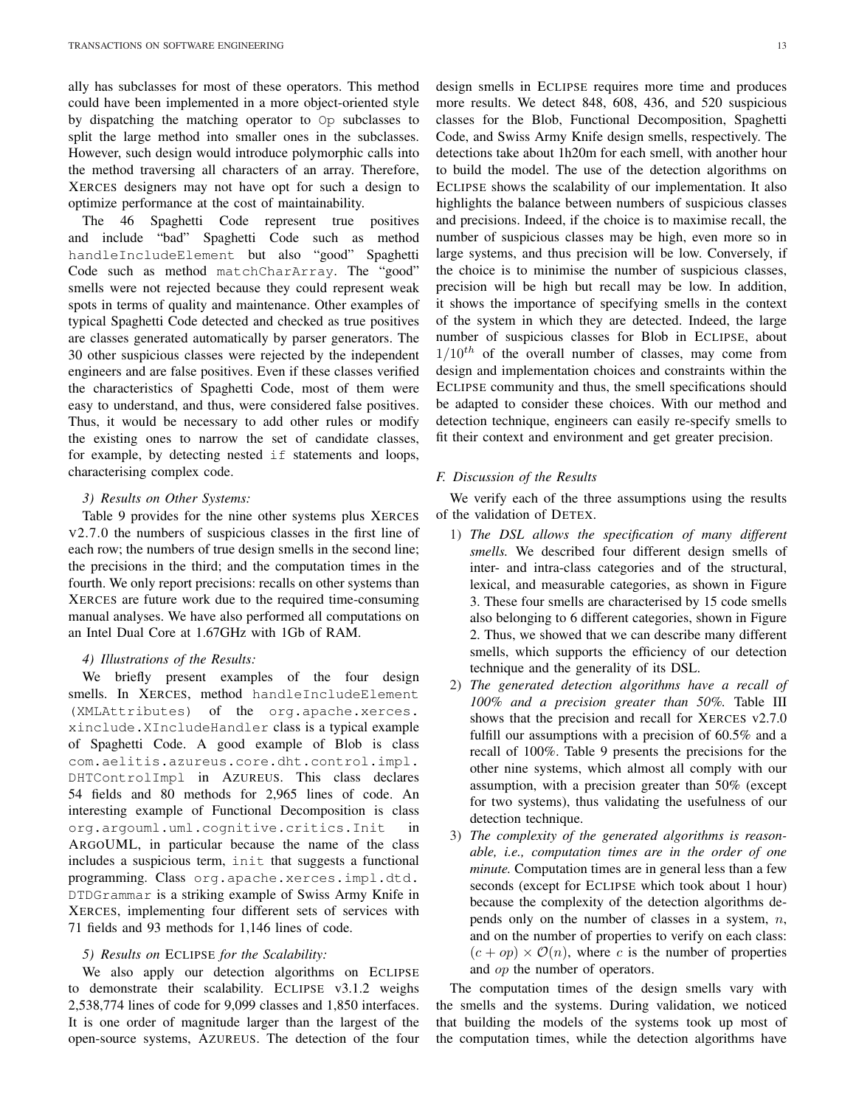ally has subclasses for most of these operators. This method could have been implemented in a more object-oriented style by dispatching the matching operator to Op subclasses to split the large method into smaller ones in the subclasses. However, such design would introduce polymorphic calls into the method traversing all characters of an array. Therefore, XERCES designers may not have opt for such a design to optimize performance at the cost of maintainability.

The 46 Spaghetti Code represent true positives and include "bad" Spaghetti Code such as method handleIncludeElement but also "good" Spaghetti Code such as method matchCharArray. The "good" smells were not rejected because they could represent weak spots in terms of quality and maintenance. Other examples of typical Spaghetti Code detected and checked as true positives are classes generated automatically by parser generators. The 30 other suspicious classes were rejected by the independent engineers and are false positives. Even if these classes verified the characteristics of Spaghetti Code, most of them were easy to understand, and thus, were considered false positives. Thus, it would be necessary to add other rules or modify the existing ones to narrow the set of candidate classes, for example, by detecting nested if statements and loops, characterising complex code.

## *3) Results on Other Systems:*

Table 9 provides for the nine other systems plus XERCES V2.7.0 the numbers of suspicious classes in the first line of each row; the numbers of true design smells in the second line; the precisions in the third; and the computation times in the fourth. We only report precisions: recalls on other systems than XERCES are future work due to the required time-consuming manual analyses. We have also performed all computations on an Intel Dual Core at 1.67GHz with 1Gb of RAM.

#### *4) Illustrations of the Results:*

We briefly present examples of the four design smells. In XERCES, method handleIncludeElement (XMLAttributes) of the org.apache.xerces. xinclude.XIncludeHandler class is a typical example of Spaghetti Code. A good example of Blob is class com.aelitis.azureus.core.dht.control.impl. DHTControlImpl in AZUREUS. This class declares 54 fields and 80 methods for 2,965 lines of code. An interesting example of Functional Decomposition is class org.argouml.uml.cognitive.critics.Init in ARGOUML, in particular because the name of the class includes a suspicious term, init that suggests a functional programming. Class org.apache.xerces.impl.dtd. DTDGrammar is a striking example of Swiss Army Knife in XERCES, implementing four different sets of services with 71 fields and 93 methods for 1,146 lines of code.

#### *5) Results on* ECLIPSE *for the Scalability:*

We also apply our detection algorithms on ECLIPSE to demonstrate their scalability. ECLIPSE v3.1.2 weighs 2,538,774 lines of code for 9,099 classes and 1,850 interfaces. It is one order of magnitude larger than the largest of the open-source systems, AZUREUS. The detection of the four design smells in ECLIPSE requires more time and produces more results. We detect 848, 608, 436, and 520 suspicious classes for the Blob, Functional Decomposition, Spaghetti Code, and Swiss Army Knife design smells, respectively. The detections take about 1h20m for each smell, with another hour to build the model. The use of the detection algorithms on ECLIPSE shows the scalability of our implementation. It also highlights the balance between numbers of suspicious classes and precisions. Indeed, if the choice is to maximise recall, the number of suspicious classes may be high, even more so in large systems, and thus precision will be low. Conversely, if the choice is to minimise the number of suspicious classes, precision will be high but recall may be low. In addition, it shows the importance of specifying smells in the context of the system in which they are detected. Indeed, the large number of suspicious classes for Blob in ECLIPSE, about  $1/10^{th}$  of the overall number of classes, may come from design and implementation choices and constraints within the ECLIPSE community and thus, the smell specifications should be adapted to consider these choices. With our method and detection technique, engineers can easily re-specify smells to fit their context and environment and get greater precision.

# *F. Discussion of the Results*

We verify each of the three assumptions using the results of the validation of DETEX.

- 1) *The DSL allows the specification of many different smells.* We described four different design smells of inter- and intra-class categories and of the structural, lexical, and measurable categories, as shown in Figure 3. These four smells are characterised by 15 code smells also belonging to 6 different categories, shown in Figure 2. Thus, we showed that we can describe many different smells, which supports the efficiency of our detection technique and the generality of its DSL.
- 2) *The generated detection algorithms have a recall of 100% and a precision greater than 50%.* Table III shows that the precision and recall for XERCES v2.7.0 fulfill our assumptions with a precision of 60.5% and a recall of 100%. Table 9 presents the precisions for the other nine systems, which almost all comply with our assumption, with a precision greater than 50% (except for two systems), thus validating the usefulness of our detection technique.
- 3) *The complexity of the generated algorithms is reasonable, i.e., computation times are in the order of one minute.* Computation times are in general less than a few seconds (except for ECLIPSE which took about 1 hour) because the complexity of the detection algorithms depends only on the number of classes in a system,  $n$ , and on the number of properties to verify on each class:  $(c + op) \times \mathcal{O}(n)$ , where c is the number of properties and op the number of operators.

The computation times of the design smells vary with the smells and the systems. During validation, we noticed that building the models of the systems took up most of the computation times, while the detection algorithms have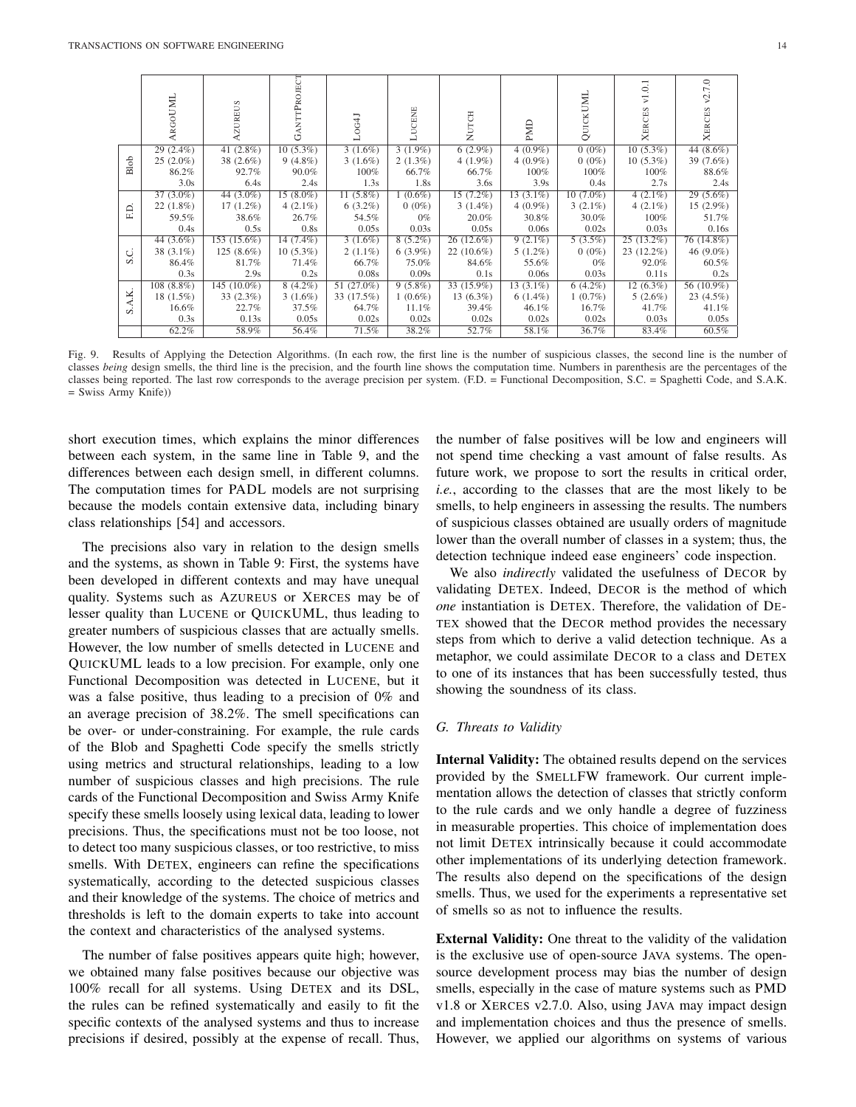|      | ARGOUML      | ZUREUS         | EСT<br><b>GANTTPROJ</b> | 0G4J         | LUCENE     | NUTCH        | EMD         | UMI<br>QUICK | ${\tt v1.0.1}$<br><b>XERCES</b> | 7.0<br>Š,<br><b>XERCES</b> |
|------|--------------|----------------|-------------------------|--------------|------------|--------------|-------------|--------------|---------------------------------|----------------------------|
| Blob | $29(2.4\%)$  | 41 $(2.8\%)$   | $10(5.3\%)$             | $3(1.6\%)$   | $3(1.9\%)$ | $6(2.9\%)$   | $4(0.9\%)$  | $0(0\%)$     | $10(5.3\%)$                     | 44 $(8.6\%)$               |
|      | $25(2.0\%)$  | 38 $(2.6\%)$   | $9(4.8\%)$              | $3(1.6\%)$   | $2(1.3\%)$ | $4(1.9\%)$   | $4(0.9\%)$  | $0(0\%)$     | $10(5.3\%)$                     | 39 (7.6%)                  |
|      | 86.2%        | 92.7%          | 90.0%                   | $100\%$      | 66.7%      | 66.7%        | $100\%$     | $100\%$      | $100\%$                         | 88.6%                      |
|      | 3.0s         | 6.4s           | 2.4s                    | 1.3s         | 1.8s       | 3.6s         | 3.9s        | 0.4s         | 2.7s                            | 2.4s                       |
| F.D. | $37(3.0\%)$  | 44 $(3.0\%)$   | $15(8.0\%)$             | 11 $(5.8\%)$ | $1(0.6\%)$ | $15(7.2\%)$  | $13(3.1\%)$ | $10(7.0\%)$  | $4(2.1\%)$                      | $29(5.6\%)$                |
|      | 22(1.8%)     | $17(1.2\%)$    | 4 $(2.1\%)$             | $6(3.2\%)$   | $0(0\%)$   | $3(1.4\%)$   | $4(0.9\%)$  | $3(2.1\%)$   | $4(2.1\%)$                      | $15(2.9\%)$                |
|      | 59.5%        | 38.6%          | 26.7%                   | 54.5%        | $0\%$      | 20.0%        | 30.8%       | 30.0%        | 100%                            | 51.7%                      |
|      | 0.4s         | 0.5s           | 0.8s                    | 0.05s        | 0.03s      | 0.05s        | 0.06s       | 0.02s        | 0.03s                           | 0.16s                      |
| S.C. | 44 $(3.6\%)$ | 153 (15.6%)    | 14 $(7.4\%)$            | $3(1.6\%)$   | $8(5.2\%)$ | $26(12.6\%)$ | $9(2.1\%)$  | $5(3.5\%)$   | $25(13.2\%)$                    | 76 (14.8%)                 |
|      | 38 $(3.1\%)$ | $125(8.6\%)$   | $10(5.3\%)$             | $2(1.1\%)$   | $6(3.9\%)$ | $22(10.6\%)$ | $5(1.2\%)$  | $0(0\%)$     | $23(12.2\%)$                    | 46 $(9.0\%)$               |
|      | 86.4%        | 81.7%          | 71.4%                   | 66.7%        | 75.0%      | 84.6%        | 55.6%       | $0\%$        | 92.0%                           | 60.5%                      |
|      | 0.3s         | 2.9s           | 0.2s                    | 0.08s        | 0.09s      | 0.1s         | 0.06s       | 0.03s        | 0.11s                           | 0.2s                       |
| A.K. | $108(8.8\%)$ | 145 $(10.0\%)$ | $8(4.2\%)$              | 51 (27.0%)   | $9(5.8\%)$ | 33 (15.9%)   | $13(3.1\%)$ | $6(4.2\%)$   | $12(6.3\%)$                     | 56 (10.9%)                 |
|      | $18(1.5\%)$  | $33(2.3\%)$    | $3(1.6\%)$              | 33 (17.5%)   | $1(0.6\%)$ | $13(6.3\%)$  | $6(1.4\%)$  | $1(0.7\%)$   | $5(2.6\%)$                      | $23(4.5\%)$                |
| S    | 16.6%        | 22.7%          | 37.5%                   | 64.7%        | 11.1%      | 39.4%        | $46.1\%$    | 16.7%        | 41.7%                           | 41.1%                      |
|      | 0.3s         | 0.13s          | 0.05s                   | 0.02s        | 0.02s      | 0.02s        | 0.02s       | 0.02s        | 0.03s                           | 0.05s                      |
|      | 62.2%        | 58.9%          | 56.4%                   | 71.5%        | 38.2%      | 52.7%        | 58.1%       | 36.7%        | 83.4%                           | 60.5%                      |

Fig. 9. Results of Applying the Detection Algorithms. (In each row, the first line is the number of suspicious classes, the second line is the number of classes *being* design smells, the third line is the precision, and the fourth line shows the computation time. Numbers in parenthesis are the percentages of the classes being reported. The last row corresponds to the average precision per system. (F.D. = Functional Decomposition, S.C. = Spaghetti Code, and S.A.K. = Swiss Army Knife))

short execution times, which explains the minor differences between each system, in the same line in Table 9, and the differences between each design smell, in different columns. The computation times for PADL models are not surprising because the models contain extensive data, including binary class relationships [54] and accessors.

The precisions also vary in relation to the design smells and the systems, as shown in Table 9: First, the systems have been developed in different contexts and may have unequal quality. Systems such as AZUREUS or XERCES may be of lesser quality than LUCENE or QUICKUML, thus leading to greater numbers of suspicious classes that are actually smells. However, the low number of smells detected in LUCENE and QUICKUML leads to a low precision. For example, only one Functional Decomposition was detected in LUCENE, but it was a false positive, thus leading to a precision of 0% and an average precision of 38.2%. The smell specifications can be over- or under-constraining. For example, the rule cards of the Blob and Spaghetti Code specify the smells strictly using metrics and structural relationships, leading to a low number of suspicious classes and high precisions. The rule cards of the Functional Decomposition and Swiss Army Knife specify these smells loosely using lexical data, leading to lower precisions. Thus, the specifications must not be too loose, not to detect too many suspicious classes, or too restrictive, to miss smells. With DETEX, engineers can refine the specifications systematically, according to the detected suspicious classes and their knowledge of the systems. The choice of metrics and thresholds is left to the domain experts to take into account the context and characteristics of the analysed systems.

The number of false positives appears quite high; however, we obtained many false positives because our objective was 100% recall for all systems. Using DETEX and its DSL, the rules can be refined systematically and easily to fit the specific contexts of the analysed systems and thus to increase precisions if desired, possibly at the expense of recall. Thus, the number of false positives will be low and engineers will not spend time checking a vast amount of false results. As future work, we propose to sort the results in critical order, *i.e.*, according to the classes that are the most likely to be smells, to help engineers in assessing the results. The numbers of suspicious classes obtained are usually orders of magnitude lower than the overall number of classes in a system; thus, the detection technique indeed ease engineers' code inspection.

We also *indirectly* validated the usefulness of DECOR by validating DETEX. Indeed, DECOR is the method of which *one* instantiation is DETEX. Therefore, the validation of DE-TEX showed that the DECOR method provides the necessary steps from which to derive a valid detection technique. As a metaphor, we could assimilate DECOR to a class and DETEX to one of its instances that has been successfully tested, thus showing the soundness of its class.

#### *G. Threats to Validity*

Internal Validity: The obtained results depend on the services provided by the SMELLFW framework. Our current implementation allows the detection of classes that strictly conform to the rule cards and we only handle a degree of fuzziness in measurable properties. This choice of implementation does not limit DETEX intrinsically because it could accommodate other implementations of its underlying detection framework. The results also depend on the specifications of the design smells. Thus, we used for the experiments a representative set of smells so as not to influence the results.

External Validity: One threat to the validity of the validation is the exclusive use of open-source JAVA systems. The opensource development process may bias the number of design smells, especially in the case of mature systems such as PMD v1.8 or XERCES v2.7.0. Also, using JAVA may impact design and implementation choices and thus the presence of smells. However, we applied our algorithms on systems of various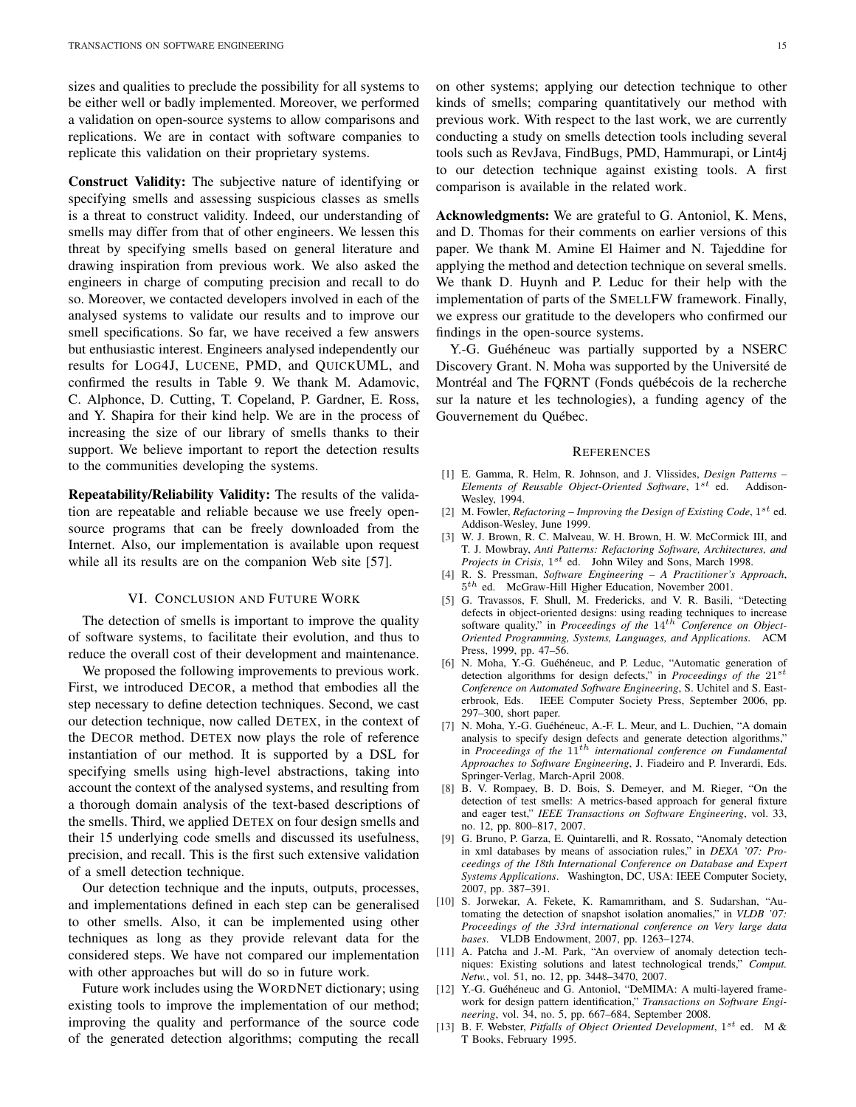sizes and qualities to preclude the possibility for all systems to be either well or badly implemented. Moreover, we performed a validation on open-source systems to allow comparisons and replications. We are in contact with software companies to replicate this validation on their proprietary systems.

Construct Validity: The subjective nature of identifying or specifying smells and assessing suspicious classes as smells is a threat to construct validity. Indeed, our understanding of smells may differ from that of other engineers. We lessen this threat by specifying smells based on general literature and drawing inspiration from previous work. We also asked the engineers in charge of computing precision and recall to do so. Moreover, we contacted developers involved in each of the analysed systems to validate our results and to improve our smell specifications. So far, we have received a few answers but enthusiastic interest. Engineers analysed independently our results for LOG4J, LUCENE, PMD, and QUICKUML, and confirmed the results in Table 9. We thank M. Adamovic, C. Alphonce, D. Cutting, T. Copeland, P. Gardner, E. Ross, and Y. Shapira for their kind help. We are in the process of increasing the size of our library of smells thanks to their support. We believe important to report the detection results to the communities developing the systems.

Repeatability/Reliability Validity: The results of the validation are repeatable and reliable because we use freely opensource programs that can be freely downloaded from the Internet. Also, our implementation is available upon request while all its results are on the companion Web site [57].

## VI. CONCLUSION AND FUTURE WORK

The detection of smells is important to improve the quality of software systems, to facilitate their evolution, and thus to reduce the overall cost of their development and maintenance.

We proposed the following improvements to previous work. First, we introduced DECOR, a method that embodies all the step necessary to define detection techniques. Second, we cast our detection technique, now called DETEX, in the context of the DECOR method. DETEX now plays the role of reference instantiation of our method. It is supported by a DSL for specifying smells using high-level abstractions, taking into account the context of the analysed systems, and resulting from a thorough domain analysis of the text-based descriptions of the smells. Third, we applied DETEX on four design smells and their 15 underlying code smells and discussed its usefulness, precision, and recall. This is the first such extensive validation of a smell detection technique.

Our detection technique and the inputs, outputs, processes, and implementations defined in each step can be generalised to other smells. Also, it can be implemented using other techniques as long as they provide relevant data for the considered steps. We have not compared our implementation with other approaches but will do so in future work.

Future work includes using the WORDNET dictionary; using existing tools to improve the implementation of our method; improving the quality and performance of the source code of the generated detection algorithms; computing the recall

on other systems; applying our detection technique to other kinds of smells; comparing quantitatively our method with previous work. With respect to the last work, we are currently conducting a study on smells detection tools including several tools such as RevJava, FindBugs, PMD, Hammurapi, or Lint4j to our detection technique against existing tools. A first comparison is available in the related work.

Acknowledgments: We are grateful to G. Antoniol, K. Mens, and D. Thomas for their comments on earlier versions of this paper. We thank M. Amine El Haimer and N. Tajeddine for applying the method and detection technique on several smells. We thank D. Huynh and P. Leduc for their help with the implementation of parts of the SMELLFW framework. Finally, we express our gratitude to the developers who confirmed our findings in the open-source systems.

Y.-G. Guéhéneuc was partially supported by a NSERC Discovery Grant. N. Moha was supported by the Université de Montréal and The FQRNT (Fonds québécois de la recherche sur la nature et les technologies), a funding agency of the Gouvernement du Québec.

#### **REFERENCES**

- [1] E. Gamma, R. Helm, R. Johnson, and J. Vlissides, *Design Patterns –* Elements of Reusable Object-Oriented Software, 1<sup>st</sup> ed. Addison-Wesley, 1994.
- [2] M. Fowler, *Refactoring Improving the Design of Existing Code*,  $1^{st}$  ed. Addison-Wesley, June 1999.
- [3] W. J. Brown, R. C. Malveau, W. H. Brown, H. W. McCormick III, and T. J. Mowbray, *Anti Patterns: Refactoring Software, Architectures, and* Projects in Crisis, 1<sup>st</sup> ed. John Wiley and Sons, March 1998.
- [4] R. S. Pressman, *Software Engineering A Practitioner's Approach*,  $5<sup>th</sup>$  ed. McGraw-Hill Higher Education, November 2001.
- [5] G. Travassos, F. Shull, M. Fredericks, and V. R. Basili, "Detecting defects in object-oriented designs: using reading techniques to increase software quality," in *Proceedings of the*  $14<sup>th</sup>$  *Conference on Object-Oriented Programming, Systems, Languages, and Applications*. ACM Press, 1999, pp. 47–56.
- [6] N. Moha, Y.-G. Guéhéneuc, and P. Leduc, "Automatic generation of detection algorithms for design defects," in *Proceedings of the* 21<sup>st</sup> *Conference on Automated Software Engineering*, S. Uchitel and S. Easterbrook, Eds. IEEE Computer Society Press, September 2006, pp. 297–300, short paper.
- [7] N. Moha, Y.-G. Guéhéneuc, A.-F. L. Meur, and L. Duchien, "A domain analysis to specify design defects and generate detection algorithms," in *Proceedings of the* 11th *international conference on Fundamental Approaches to Software Engineering*, J. Fiadeiro and P. Inverardi, Eds. Springer-Verlag, March-April 2008.
- [8] B. V. Rompaey, B. D. Bois, S. Demeyer, and M. Rieger, "On the detection of test smells: A metrics-based approach for general fixture and eager test," *IEEE Transactions on Software Engineering*, vol. 33, no. 12, pp. 800–817, 2007.
- [9] G. Bruno, P. Garza, E. Quintarelli, and R. Rossato, "Anomaly detection in xml databases by means of association rules," in *DEXA '07: Proceedings of the 18th International Conference on Database and Expert Systems Applications*. Washington, DC, USA: IEEE Computer Society, 2007, pp. 387–391.
- [10] S. Jorwekar, A. Fekete, K. Ramamritham, and S. Sudarshan, "Automating the detection of snapshot isolation anomalies," in *VLDB '07: Proceedings of the 33rd international conference on Very large data bases*. VLDB Endowment, 2007, pp. 1263–1274.
- [11] A. Patcha and J.-M. Park, "An overview of anomaly detection techniques: Existing solutions and latest technological trends," *Comput. Netw.*, vol. 51, no. 12, pp. 3448–3470, 2007.
- [12] Y.-G. Guéhéneuc and  $\tilde{G}$ . Antoniol, "DeMIMA: A multi-layered framework for design pattern identification," *Transactions on Software Engineering*, vol. 34, no. 5, pp. 667–684, September 2008.
- [13] B. F. Webster, Pitfalls of Object Oriented Development, 1<sup>st</sup> ed. M & T Books, February 1995.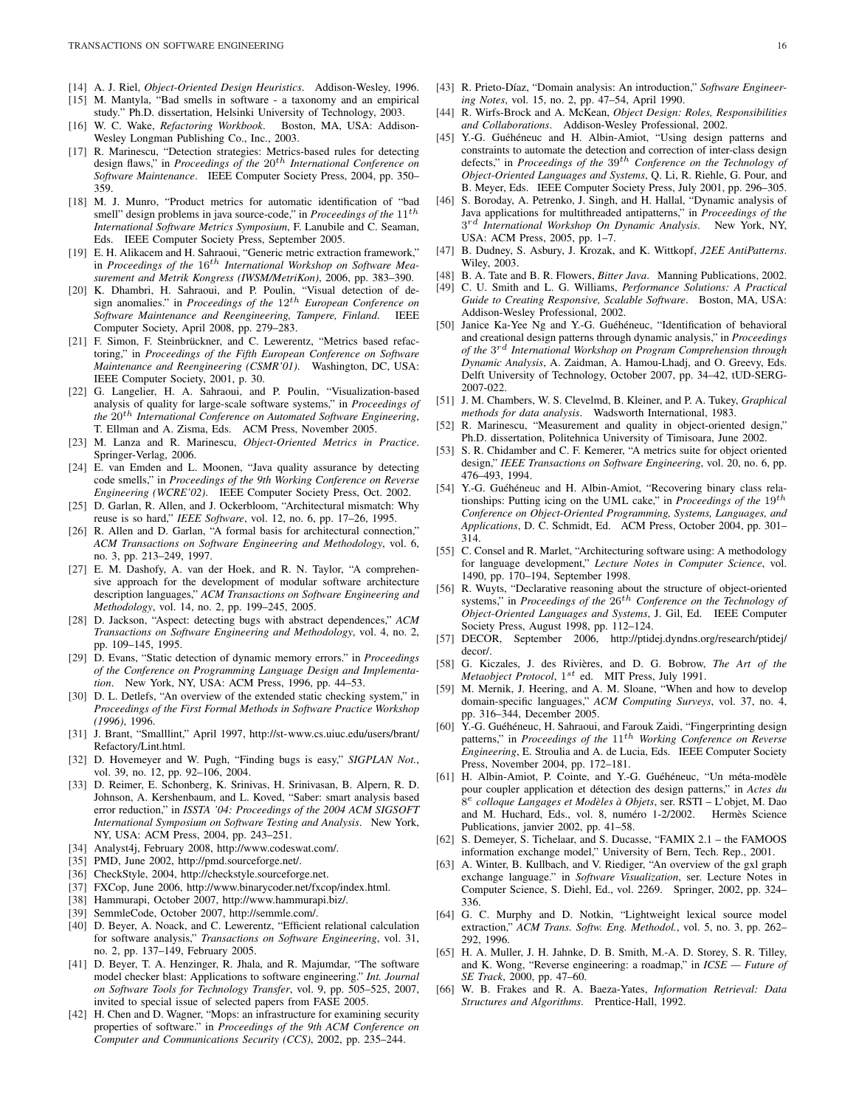- [14] A. J. Riel, *Object-Oriented Design Heuristics*. Addison-Wesley, 1996.
- [15] M. Mantyla, "Bad smells in software a taxonomy and an empirical study." Ph.D. dissertation, Helsinki University of Technology, 2003.
- [16] W. C. Wake, *Refactoring Workbook*. Boston, MA, USA: Addison-Wesley Longman Publishing Co., Inc., 2003.
- [17] R. Marinescu, "Detection strategies: Metrics-based rules for detecting design flaws," in *Proceedings of the* 20<sup>th</sup> International Conference on *Software Maintenance*. IEEE Computer Society Press, 2004, pp. 350– 359.
- [18] M. J. Munro, "Product metrics for automatic identification of "bad smell" design problems in java source-code," in *Proceedings of the* 11<sup>th</sup> *International Software Metrics Symposium*, F. Lanubile and C. Seaman, Eds. IEEE Computer Society Press, September 2005.
- [19] E. H. Alikacem and H. Sahraoui, "Generic metric extraction framework," in *Proceedings of the* 16th *International Workshop on Software Measurement and Metrik Kongress (IWSM/MetriKon)*, 2006, pp. 383–390.
- [20] K. Dhambri, H. Sahraoui, and P. Poulin, "Visual detection of design anomalies." in *Proceedings of the* 12th *European Conference on Software Maintenance and Reengineering, Tampere, Finland*. IEEE Computer Society, April 2008, pp. 279–283.
- [21] F. Simon, F. Steinbrückner, and C. Lewerentz, "Metrics based refactoring," in *Proceedings of the Fifth European Conference on Software Maintenance and Reengineering (CSMR'01)*. Washington, DC, USA: IEEE Computer Society, 2001, p. 30.
- [22] G. Langelier, H. A. Sahraoui, and P. Poulin, "Visualization-based analysis of quality for large-scale software systems," in *Proceedings of the* 20th *International Conference on Automated Software Engineering*, T. Ellman and A. Zisma, Eds. ACM Press, November 2005.
- [23] M. Lanza and R. Marinescu, *Object-Oriented Metrics in Practice*. Springer-Verlag, 2006.
- [24] E. van Emden and L. Moonen, "Java quality assurance by detecting code smells," in *Proceedings of the 9th Working Conference on Reverse Engineering (WCRE'02)*. IEEE Computer Society Press, Oct. 2002.
- [25] D. Garlan, R. Allen, and J. Ockerbloom, "Architectural mismatch: Why reuse is so hard," *IEEE Software*, vol. 12, no. 6, pp. 17–26, 1995.
- [26] R. Allen and D. Garlan, "A formal basis for architectural connection," *ACM Transactions on Software Engineering and Methodology*, vol. 6, no. 3, pp. 213–249, 1997.
- [27] E. M. Dashofy, A. van der Hoek, and R. N. Taylor, "A comprehensive approach for the development of modular software architecture description languages," *ACM Transactions on Software Engineering and Methodology*, vol. 14, no. 2, pp. 199–245, 2005.
- [28] D. Jackson, "Aspect: detecting bugs with abstract dependences," *ACM Transactions on Software Engineering and Methodology*, vol. 4, no. 2, pp. 109–145, 1995.
- [29] D. Evans, "Static detection of dynamic memory errors." in *Proceedings of the Conference on Programming Language Design and Implementation*. New York, NY, USA: ACM Press, 1996, pp. 44–53.
- [30] D. L. Detlefs, "An overview of the extended static checking system," in *Proceedings of the First Formal Methods in Software Practice Workshop (1996)*, 1996.
- [31] J. Brant, "Smalllint," April 1997, http://st-www.cs.uiuc.edu/users/brant/ Refactory/Lint.html.
- [32] D. Hovemeyer and W. Pugh, "Finding bugs is easy," *SIGPLAN Not.*, vol. 39, no. 12, pp. 92–106, 2004.
- [33] D. Reimer, E. Schonberg, K. Srinivas, H. Srinivasan, B. Alpern, R. D. Johnson, A. Kershenbaum, and L. Koved, "Saber: smart analysis based error reduction," in *ISSTA '04: Proceedings of the 2004 ACM SIGSOFT International Symposium on Software Testing and Analysis*. New York, NY, USA: ACM Press, 2004, pp. 243–251.
- [34] Analyst4j, February 2008, http://www.codeswat.com/.
- [35] PMD, June 2002, http://pmd.sourceforge.net/.
- [36] CheckStyle, 2004, http://checkstyle.sourceforge.net.
- [37] FXCop, June 2006, http://www.binarycoder.net/fxcop/index.html.
- [38] Hammurapi, October 2007, http://www.hammurapi.biz/.
- [39] SemmleCode, October 2007, http://semmle.com/.
- [40] D. Beyer, A. Noack, and C. Lewerentz, "Efficient relational calculation for software analysis," *Transactions on Software Engineering*, vol. 31, no. 2, pp. 137–149, February 2005.
- [41] D. Beyer, T. A. Henzinger, R. Jhala, and R. Majumdar, "The software model checker blast: Applications to software engineering." *Int. Journal on Software Tools for Technology Transfer*, vol. 9, pp. 505–525, 2007, invited to special issue of selected papers from FASE 2005.
- [42] H. Chen and D. Wagner, "Mops: an infrastructure for examining security properties of software." in *Proceedings of the 9th ACM Conference on Computer and Communications Security (CCS)*, 2002, pp. 235–244.
- [43] R. Prieto-Díaz, "Domain analysis: An introduction," Software Engineer*ing Notes*, vol. 15, no. 2, pp. 47–54, April 1990.
- [44] R. Wirfs-Brock and A. McKean, *Object Design: Roles, Responsibilities and Collaborations*. Addison-Wesley Professional, 2002.
- [45] Y.-G. Guéhéneuc and H. Albin-Amiot, "Using design patterns and constraints to automate the detection and correction of inter-class design defects," in *Proceedings of the* 39th *Conference on the Technology of Object-Oriented Languages and Systems*, Q. Li, R. Riehle, G. Pour, and B. Meyer, Eds. IEEE Computer Society Press, July 2001, pp. 296–305.
- [46] S. Boroday, A. Petrenko, J. Singh, and H. Hallal, "Dynamic analysis of Java applications for multithreaded antipatterns," in *Proceedings of the* 3 rd *International Workshop On Dynamic Analysis*. New York, NY, USA: ACM Press, 2005, pp. 1–7.
- [47] B. Dudney, S. Asbury, J. Krozak, and K. Wittkopf, *J2EE AntiPatterns*. Wiley, 2003.
- [48] B. A. Tate and B. R. Flowers, *Bitter Java*. Manning Publications, 2002.
- [49] C. U. Smith and L. G. Williams, *Performance Solutions: A Practical Guide to Creating Responsive, Scalable Software*. Boston, MA, USA: Addison-Wesley Professional, 2002.
- [50] Janice Ka-Yee Ng and Y.-G. Guéhéneuc, "Identification of behavioral and creational design patterns through dynamic analysis," in *Proceedings of the* 3 rd *International Workshop on Program Comprehension through Dynamic Analysis*, A. Zaidman, A. Hamou-Lhadj, and O. Greevy, Eds. Delft University of Technology, October 2007, pp. 34–42, tUD-SERG-2007-022.
- [51] J. M. Chambers, W. S. Clevelmd, B. Kleiner, and P. A. Tukey, *Graphical methods for data analysis*. Wadsworth International, 1983.
- [52] R. Marinescu, "Measurement and quality in object-oriented design," Ph.D. dissertation, Politehnica University of Timisoara, June 2002.
- [53] S. R. Chidamber and C. F. Kemerer, "A metrics suite for object oriented design," *IEEE Transactions on Software Engineering*, vol. 20, no. 6, pp. 476–493, 1994.
- [54] Y.-G. Guéhéneuc and H. Albin-Amiot, "Recovering binary class relationships: Putting icing on the UML cake," in *Proceedings of the* 19th *Conference on Object-Oriented Programming, Systems, Languages, and Applications*, D. C. Schmidt, Ed. ACM Press, October 2004, pp. 301– 314.
- [55] C. Consel and R. Marlet, "Architecturing software using: A methodology for language development," *Lecture Notes in Computer Science*, vol. 1490, pp. 170–194, September 1998.
- [56] R. Wuyts, "Declarative reasoning about the structure of object-oriented systems," in *Proceedings of the*  $26<sup>th</sup>$  *Conference on the Technology of Object-Oriented Languages and Systems*, J. Gil, Ed. IEEE Computer Society Press, August 1998, pp. 112–124.
- [57] DECOR, September 2006, http://ptidej.dyndns.org/research/ptidej/ decor/.
- [58] G. Kiczales, J. des Rivières, and D. G. Bobrow, The Art of the Metaobject Protocol, 1<sup>st</sup> ed. MIT Press, July 1991.
- [59] M. Mernik, J. Heering, and A. M. Sloane, "When and how to develop domain-specific languages," *ACM Computing Surveys*, vol. 37, no. 4, pp. 316–344, December 2005.
- [60] Y.-G. Guéhéneuc, H. Sahraoui, and Farouk Zaidi, "Fingerprinting design patterns," in *Proceedings of the*  $11^{th}$  *Working Conference on Reverse Engineering*, E. Stroulia and A. de Lucia, Eds. IEEE Computer Society Press, November 2004, pp. 172–181.
- [61] H. Albin-Amiot, P. Cointe, and Y.-G. Guéhéneuc, "Un méta-modèle pour coupler application et détection des design patterns," in *Actes du* 8 e *colloque Langages et Modeles ` a Objets `* , ser. RSTI – L'objet, M. Dao and M. Huchard, Eds., vol. 8, numéro 1-2/2002. Hermès Science Publications, janvier 2002, pp. 41–58.
- [62] S. Demeyer, S. Tichelaar, and S. Ducasse, "FAMIX 2.1 the FAMOOS information exchange model," University of Bern, Tech. Rep., 2001.
- [63] A. Winter, B. Kullbach, and V. Riediger, "An overview of the gxl graph exchange language." in *Software Visualization*, ser. Lecture Notes in Computer Science, S. Diehl, Ed., vol. 2269. Springer, 2002, pp. 324– 336.
- [64] G. C. Murphy and D. Notkin, "Lightweight lexical source model extraction," *ACM Trans. Softw. Eng. Methodol.*, vol. 5, no. 3, pp. 262– 292, 1996.
- [65] H. A. Muller, J. H. Jahnke, D. B. Smith, M.-A. D. Storey, S. R. Tilley, and K. Wong, "Reverse engineering: a roadmap," in *ICSE — Future of SE Track*, 2000, pp. 47–60.
- [66] W. B. Frakes and R. A. Baeza-Yates, *Information Retrieval: Data Structures and Algorithms*. Prentice-Hall, 1992.